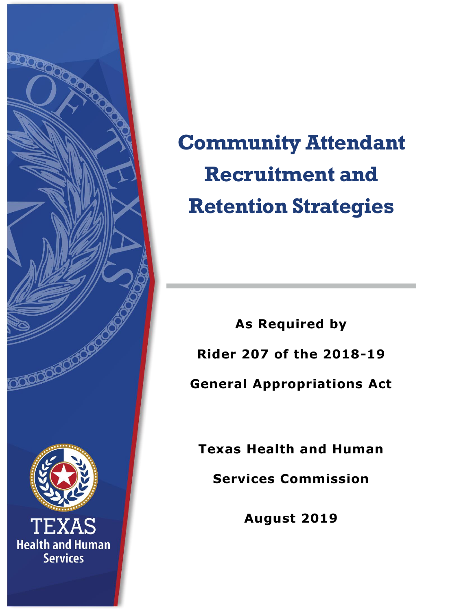

# **Community Attendant Recruitment and Retention Strategies**

**As Required by Rider 207 of the 2018-19 General Appropriations Act** 

**Texas Health and Human** 

**Services Commission**

**August 2019**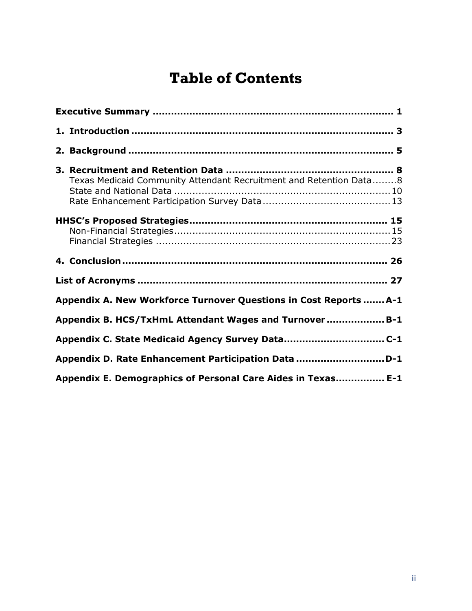# **Table of Contents**

| Texas Medicaid Community Attendant Recruitment and Retention Data8 |  |
|--------------------------------------------------------------------|--|
|                                                                    |  |
|                                                                    |  |
|                                                                    |  |
| Appendix A. New Workforce Turnover Questions in Cost Reports  A-1  |  |
| Appendix B. HCS/TxHmL Attendant Wages and Turnover B-1             |  |
|                                                                    |  |
| Appendix D. Rate Enhancement Participation Data D-1                |  |
| Appendix E. Demographics of Personal Care Aides in Texas E-1       |  |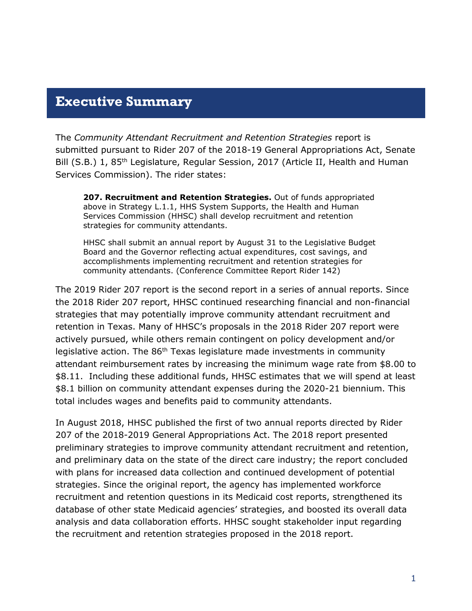### <span id="page-2-0"></span>**Executive Summary**

The *Community Attendant Recruitment and Retention Strategies* report is submitted pursuant to Rider 207 of the 2018-19 General Appropriations Act, Senate Bill (S.B.) 1, 85<sup>th</sup> Legislature, Regular Session, 2017 (Article II, Health and Human Services Commission). The rider states:

**207. Recruitment and Retention Strategies.** Out of funds appropriated above in Strategy L.1.1, HHS System Supports, the Health and Human Services Commission (HHSC) shall develop recruitment and retention strategies for community attendants.

HHSC shall submit an annual report by August 31 to the Legislative Budget Board and the Governor reflecting actual expenditures, cost savings, and accomplishments implementing recruitment and retention strategies for community attendants. (Conference Committee Report Rider 142)

The 2019 Rider 207 report is the second report in a series of annual reports. Since the 2018 Rider 207 report, HHSC continued researching financial and non-financial strategies that may potentially improve community attendant recruitment and retention in Texas. Many of HHSC's proposals in the 2018 Rider 207 report were actively pursued, while others remain contingent on policy development and/or legislative action. The 86<sup>th</sup> Texas legislature made investments in community attendant reimbursement rates by increasing the minimum wage rate from \$8.00 to \$8.11. Including these additional funds, HHSC estimates that we will spend at least \$8.1 billion on community attendant expenses during the 2020-21 biennium. This total includes wages and benefits paid to community attendants.

In August 2018, HHSC published the first of two annual reports directed by Rider 207 of the 2018-2019 General Appropriations Act. The 2018 report presented preliminary strategies to improve community attendant recruitment and retention, and preliminary data on the state of the direct care industry; the report concluded with plans for increased data collection and continued development of potential strategies. Since the original report, the agency has implemented workforce recruitment and retention questions in its Medicaid cost reports, strengthened its database of other state Medicaid agencies' strategies, and boosted its overall data analysis and data collaboration efforts. HHSC sought stakeholder input regarding the recruitment and retention strategies proposed in the 2018 report.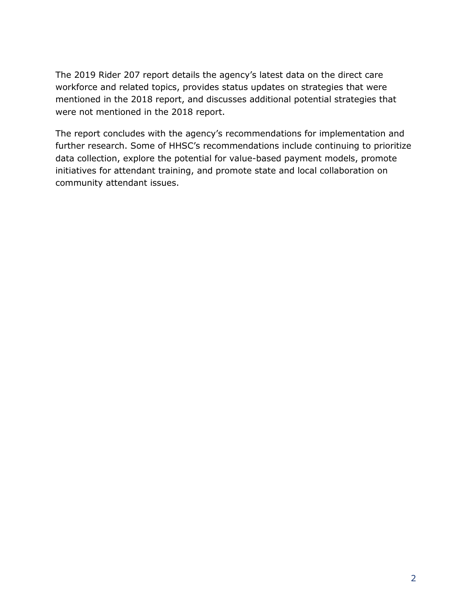The 2019 Rider 207 report details the agency's latest data on the direct care workforce and related topics, provides status updates on strategies that were mentioned in the 2018 report, and discusses additional potential strategies that were not mentioned in the 2018 report.

The report concludes with the agency's recommendations for implementation and further research. Some of HHSC's recommendations include continuing to prioritize data collection, explore the potential for value-based payment models, promote initiatives for attendant training, and promote state and local collaboration on community attendant issues.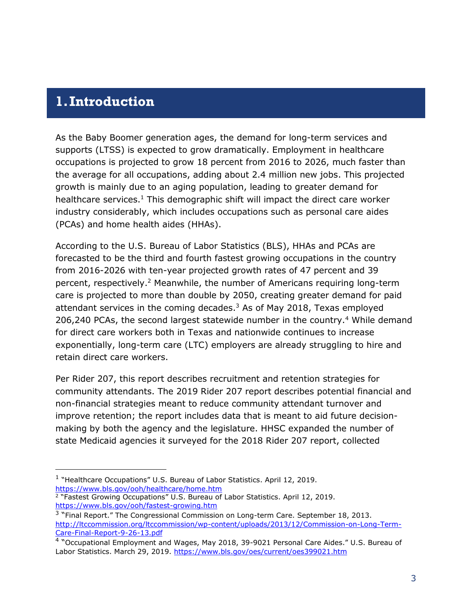### <span id="page-4-0"></span>**1.Introduction**

j

As the Baby Boomer generation ages, the demand for long-term services and supports (LTSS) is expected to grow dramatically. Employment in healthcare occupations is projected to grow 18 percent from 2016 to 2026, much faster than the average for all occupations, adding about 2.4 million new jobs. This projected growth is mainly due to an aging population, leading to greater demand for healthcare services.<sup>1</sup> This demographic shift will impact the direct care worker industry considerably, which includes occupations such as personal care aides (PCAs) and home health aides (HHAs).

According to the U.S. Bureau of Labor Statistics (BLS), HHAs and PCAs are forecasted to be the third and fourth fastest growing occupations in the country from 2016-2026 with ten-year projected growth rates of 47 percent and 39 percent, respectively. <sup>2</sup> Meanwhile, the number of Americans requiring long-term care is projected to more than double by 2050, creating greater demand for paid attendant services in the coming decades. $3$  As of May 2018, Texas employed 206,240 PCAs, the second largest statewide number in the country.<sup>4</sup> While demand for direct care workers both in Texas and nationwide continues to increase exponentially, long-term care (LTC) employers are already struggling to hire and retain direct care workers.

Per Rider 207, this report describes recruitment and retention strategies for community attendants. The 2019 Rider 207 report describes potential financial and non-financial strategies meant to reduce community attendant turnover and improve retention; the report includes data that is meant to aid future decisionmaking by both the agency and the legislature. HHSC expanded the number of state Medicaid agencies it surveyed for the 2018 Rider 207 report, collected

- <sup>1</sup> "Healthcare Occupations" U.S. Bureau of Labor Statistics. April 12, 2019. <https://www.bls.gov/ooh/healthcare/home.htm>
- <sup>2</sup> "Fastest Growing Occupations" U.S. Bureau of Labor Statistics. April 12, 2019. <https://www.bls.gov/ooh/fastest-growing.htm>

<sup>&</sup>lt;sup>3</sup> "Final Report." The Congressional Commission on Long-term Care. September 18, 2013. [http://ltccommission.org/ltccommission/wp-content/uploads/2013/12/Commission-on-Long-Term-](http://ltccommission.org/ltccommission/wp-content/uploads/2013/12/Commission-on-Long-Term-Care-Final-Report-9-26-13.pdf)[Care-Final-Report-9-26-13.pdf](http://ltccommission.org/ltccommission/wp-content/uploads/2013/12/Commission-on-Long-Term-Care-Final-Report-9-26-13.pdf)

<sup>&</sup>lt;sup>4</sup> "Occupational Employment and Wages, May 2018, 39-9021 Personal Care Aides." U.S. Bureau of Labor Statistics. March 29, 2019.<https://www.bls.gov/oes/current/oes399021.htm>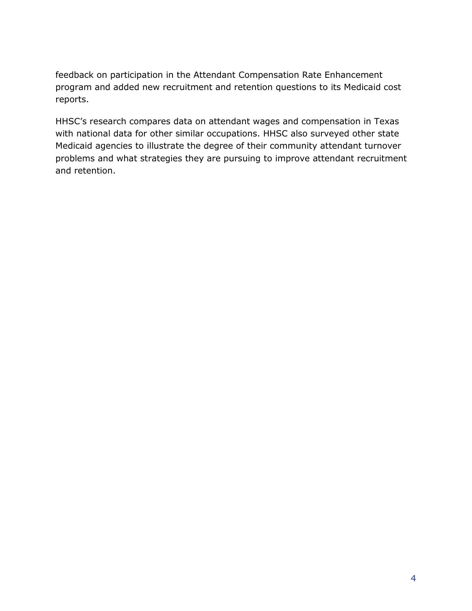feedback on participation in the Attendant Compensation Rate Enhancement program and added new recruitment and retention questions to its Medicaid cost reports.

HHSC's research compares data on attendant wages and compensation in Texas with national data for other similar occupations. HHSC also surveyed other state Medicaid agencies to illustrate the degree of their community attendant turnover problems and what strategies they are pursuing to improve attendant recruitment and retention.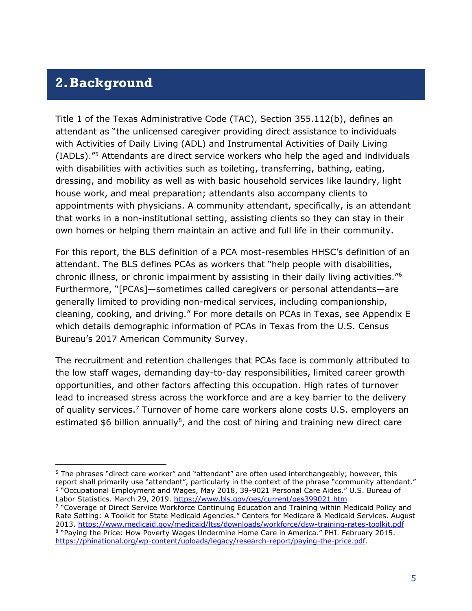### <span id="page-6-0"></span>**2.Background**

j

Title 1 of the Texas Administrative Code (TAC), Section 355.112(b), defines an attendant as "the unlicensed caregiver providing direct assistance to individuals with Activities of Daily Living (ADL) and Instrumental Activities of Daily Living (IADLs)."<sup>5</sup> Attendants are direct service workers who help the aged and individuals with disabilities with activities such as toileting, transferring, bathing, eating, dressing, and mobility as well as with basic household services like laundry, light house work, and meal preparation; attendants also accompany clients to appointments with physicians. A community attendant, specifically, is an attendant that works in a non-institutional setting, assisting clients so they can stay in their own homes or helping them maintain an active and full life in their community.

For this report, the BLS definition of a PCA most-resembles HHSC's definition of an attendant. The BLS defines PCAs as workers that "help people with disabilities, chronic illness, or chronic impairment by assisting in their daily living activities."<sup>6</sup> Furthermore, "[PCAs]—sometimes called caregivers or personal attendants—are generally limited to providing non-medical services, including companionship, cleaning, cooking, and driving." For more details on PCAs in Texas, see Appendix E which details demographic information of PCAs in Texas from the U.S. Census Bureau's 2017 American Community Survey.

The recruitment and retention challenges that PCAs face is commonly attributed to the low staff wages, demanding day-to-day responsibilities, limited career growth opportunities, and other factors affecting this occupation. High rates of turnover lead to increased stress across the workforce and are a key barrier to the delivery of quality services.<sup>7</sup> Turnover of home care workers alone costs U.S. employers an estimated  $$6$  billion annually<sup>8</sup>, and the cost of hiring and training new direct care

<sup>5</sup> The phrases "direct care worker" and "attendant" are often used interchangeably; however, this report shall primarily use "attendant", particularly in the context of the phrase "community attendant." <sup>6</sup> "Occupational Employment and Wages, May 2018, 39-9021 Personal Care Aides." U.S. Bureau of Labor Statistics. March 29, 2019.<https://www.bls.gov/oes/current/oes399021.htm> <sup>7</sup> "Coverage of Direct Service Workforce Continuing Education and Training within Medicaid Policy and Rate Setting: A Toolkit for State Medicaid Agencies." Centers for Medicare & Medicaid Services. August

<sup>2013.</sup> <https://www.medicaid.gov/medicaid/ltss/downloads/workforce/dsw-training-rates-toolkit.pdf> <sup>8</sup> "Paying the Price: How Poverty Wages Undermine Home Care in America." PHI. February 2015. [https://phinational.org/wp-content/uploads/legacy/research-report/paying-the-price.pdf.](https://phinational.org/wp-content/uploads/legacy/research-report/paying-the-price.pdf)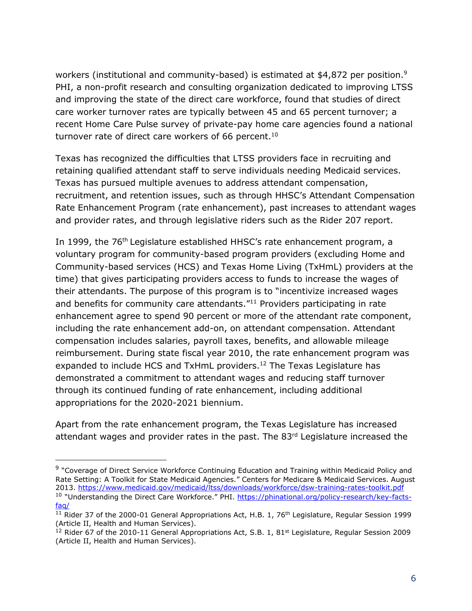workers (institutional and community-based) is estimated at \$4,872 per position.<sup>9</sup> PHI, a non-profit research and consulting organization dedicated to improving LTSS and improving the state of the direct care workforce, found that studies of direct care worker turnover rates are typically between 45 and 65 percent turnover; a recent Home Care Pulse survey of private-pay home care agencies found a national turnover rate of direct care workers of 66 percent. $10$ 

Texas has recognized the difficulties that LTSS providers face in recruiting and retaining qualified attendant staff to serve individuals needing Medicaid services. Texas has pursued multiple avenues to address attendant compensation, recruitment, and retention issues, such as through HHSC's Attendant Compensation Rate Enhancement Program (rate enhancement), past increases to attendant wages and provider rates, and through legislative riders such as the Rider 207 report.

In 1999, the 76<sup>th</sup> Legislature established HHSC's rate enhancement program, a voluntary program for community-based program providers (excluding Home and Community-based services (HCS) and Texas Home Living (TxHmL) providers at the time) that gives participating providers access to funds to increase the wages of their attendants. The purpose of this program is to "incentivize increased wages and benefits for community care attendants."<sup>11</sup> Providers participating in rate enhancement agree to spend 90 percent or more of the attendant rate component, including the rate enhancement add-on, on attendant compensation. Attendant compensation includes salaries, payroll taxes, benefits, and allowable mileage reimbursement. During state fiscal year 2010, the rate enhancement program was expanded to include HCS and TxHmL providers.<sup>12</sup> The Texas Legislature has demonstrated a commitment to attendant wages and reducing staff turnover through its continued funding of rate enhancement, including additional appropriations for the 2020-2021 biennium.

Apart from the rate enhancement program, the Texas Legislature has increased attendant wages and provider rates in the past. The 83<sup>rd</sup> Legislature increased the

 $\overline{a}$ 

<sup>&</sup>lt;sup>9</sup> "Coverage of Direct Service Workforce Continuing Education and Training within Medicaid Policy and Rate Setting: A Toolkit for State Medicaid Agencies." Centers for Medicare & Medicaid Services. August 2013. <https://www.medicaid.gov/medicaid/ltss/downloads/workforce/dsw-training-rates-toolkit.pdf> <sup>10</sup> "Understanding the Direct Care Workforce." PHI. [https://phinational.org/policy-research/key-facts](https://phinational.org/policy-research/key-facts-faq/)[faq/](https://phinational.org/policy-research/key-facts-faq/)

<sup>&</sup>lt;sup>11</sup> Rider 37 of the 2000-01 General Appropriations Act, H.B. 1, 76<sup>th</sup> Legislature, Regular Session 1999 (Article II, Health and Human Services).

 $12$  Rider 67 of the 2010-11 General Appropriations Act, S.B. 1, 81<sup>st</sup> Legislature, Regular Session 2009 (Article II, Health and Human Services).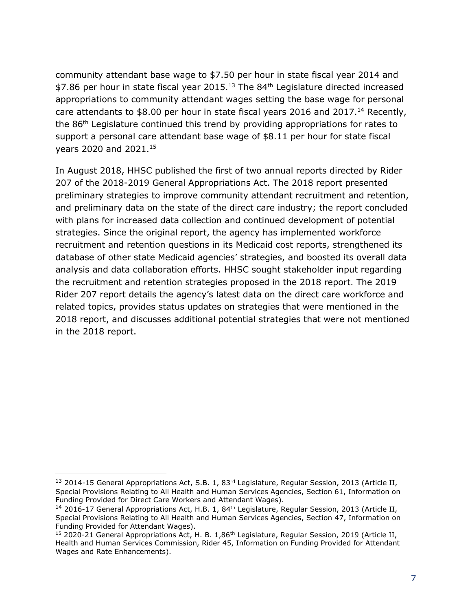community attendant base wage to \$7.50 per hour in state fiscal year 2014 and  $$7.86$  per hour in state fiscal year 2015.<sup>13</sup> The 84<sup>th</sup> Legislature directed increased appropriations to community attendant wages setting the base wage for personal care attendants to \$8.00 per hour in state fiscal years 2016 and 2017.<sup>14</sup> Recently, the 86th Legislature continued this trend by providing appropriations for rates to support a personal care attendant base wage of \$8.11 per hour for state fiscal years 2020 and 2021.<sup>15</sup>

In August 2018, HHSC published the first of two annual reports directed by Rider 207 of the 2018-2019 General Appropriations Act. The 2018 report presented preliminary strategies to improve community attendant recruitment and retention, and preliminary data on the state of the direct care industry; the report concluded with plans for increased data collection and continued development of potential strategies. Since the original report, the agency has implemented workforce recruitment and retention questions in its Medicaid cost reports, strengthened its database of other state Medicaid agencies' strategies, and boosted its overall data analysis and data collaboration efforts. HHSC sought stakeholder input regarding the recruitment and retention strategies proposed in the 2018 report. The 2019 Rider 207 report details the agency's latest data on the direct care workforce and related topics, provides status updates on strategies that were mentioned in the 2018 report, and discusses additional potential strategies that were not mentioned in the 2018 report.

j

<sup>&</sup>lt;sup>13</sup> 2014-15 General Appropriations Act, S.B. 1, 83<sup>rd</sup> Legislature, Regular Session, 2013 (Article II, Special Provisions Relating to All Health and Human Services Agencies, Section 61, Information on Funding Provided for Direct Care Workers and Attendant Wages).

<sup>&</sup>lt;sup>14</sup> 2016-17 General Appropriations Act, H.B. 1, 84<sup>th</sup> Legislature, Regular Session, 2013 (Article II, Special Provisions Relating to All Health and Human Services Agencies, Section 47, Information on Funding Provided for Attendant Wages).

<sup>&</sup>lt;sup>15</sup> 2020-21 General Appropriations Act, H. B. 1,86<sup>th</sup> Legislature, Regular Session, 2019 (Article II, Health and Human Services Commission, Rider 45, Information on Funding Provided for Attendant Wages and Rate Enhancements).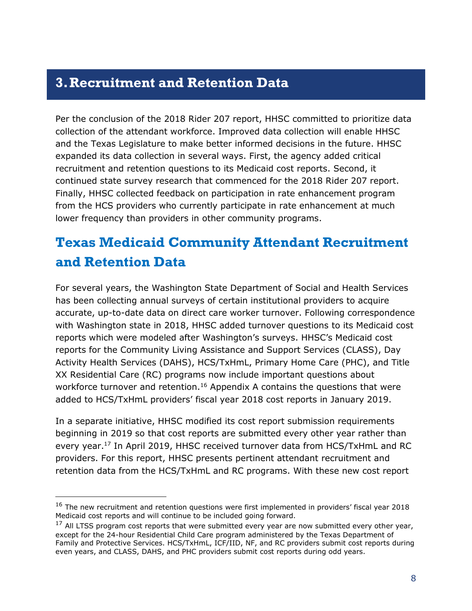### <span id="page-9-0"></span>**3.Recruitment and Retention Data**

Per the conclusion of the 2018 Rider 207 report, HHSC committed to prioritize data collection of the attendant workforce. Improved data collection will enable HHSC and the Texas Legislature to make better informed decisions in the future. HHSC expanded its data collection in several ways. First, the agency added critical recruitment and retention questions to its Medicaid cost reports. Second, it continued state survey research that commenced for the 2018 Rider 207 report. Finally, HHSC collected feedback on participation in rate enhancement program from the HCS providers who currently participate in rate enhancement at much lower frequency than providers in other community programs.

# <span id="page-9-1"></span>**Texas Medicaid Community Attendant Recruitment and Retention Data**

For several years, the Washington State Department of Social and Health Services has been collecting annual surveys of certain institutional providers to acquire accurate, up-to-date data on direct care worker turnover. Following correspondence with Washington state in 2018, HHSC added turnover questions to its Medicaid cost reports which were modeled after Washington's surveys. HHSC's Medicaid cost reports for the Community Living Assistance and Support Services (CLASS), Day Activity Health Services (DAHS), HCS/TxHmL, Primary Home Care (PHC), and Title XX Residential Care (RC) programs now include important questions about workforce turnover and retention.<sup>16</sup> Appendix A contains the questions that were added to HCS/TxHmL providers' fiscal year 2018 cost reports in January 2019.

In a separate initiative, HHSC modified its cost report submission requirements beginning in 2019 so that cost reports are submitted every other year rather than every year.<sup>17</sup> In April 2019, HHSC received turnover data from HCS/TxHmL and RC providers. For this report, HHSC presents pertinent attendant recruitment and retention data from the HCS/TxHmL and RC programs. With these new cost report

j

 $16$  The new recruitment and retention questions were first implemented in providers' fiscal year 2018 Medicaid cost reports and will continue to be included going forward.

 $17$  All LTSS program cost reports that were submitted every year are now submitted every other year, except for the 24-hour Residential Child Care program administered by the Texas Department of Family and Protective Services. HCS/TxHmL, ICF/IID, NF, and RC providers submit cost reports during even years, and CLASS, DAHS, and PHC providers submit cost reports during odd years.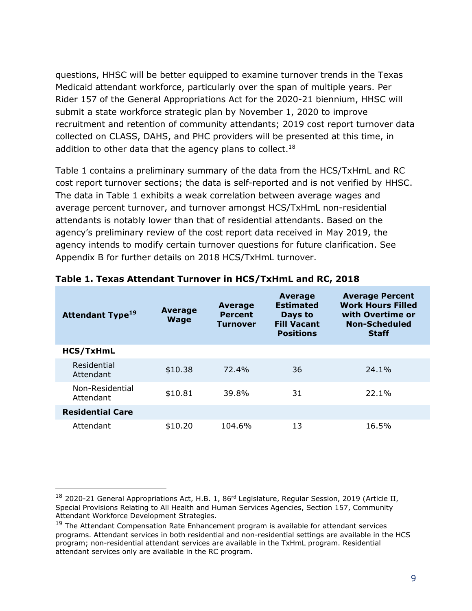questions, HHSC will be better equipped to examine turnover trends in the Texas Medicaid attendant workforce, particularly over the span of multiple years. Per Rider 157 of the General Appropriations Act for the 2020-21 biennium, HHSC will submit a state workforce strategic plan by November 1, 2020 to improve recruitment and retention of community attendants; 2019 cost report turnover data collected on CLASS, DAHS, and PHC providers will be presented at this time, in addition to other data that the agency plans to collect.<sup>18</sup>

Table 1 contains a preliminary summary of the data from the HCS/TxHmL and RC cost report turnover sections; the data is self-reported and is not verified by HHSC. The data in Table 1 exhibits a weak correlation between average wages and average percent turnover, and turnover amongst HCS/TxHmL non-residential attendants is notably lower than that of residential attendants. Based on the agency's preliminary review of the cost report data received in May 2019, the agency intends to modify certain turnover questions for future clarification. See Appendix B for further details on 2018 HCS/TxHmL turnover.

| <b>Attendant Type<sup>19</sup></b> | <b>Average</b><br><b>Wage</b> | Average<br><b>Percent</b><br><b>Turnover</b> | <b>Average</b><br><b>Estimated</b><br>Days to<br><b>Fill Vacant</b><br><b>Positions</b> | <b>Average Percent</b><br><b>Work Hours Filled</b><br>with Overtime or<br>Non-Scheduled<br><b>Staff</b> |  |
|------------------------------------|-------------------------------|----------------------------------------------|-----------------------------------------------------------------------------------------|---------------------------------------------------------------------------------------------------------|--|
| <b>HCS/TxHmL</b>                   |                               |                                              |                                                                                         |                                                                                                         |  |
| Residential<br>Attendant           | \$10.38                       | 72.4%                                        | 36                                                                                      | 24.1%                                                                                                   |  |
| Non-Residential<br>Attendant       | \$10.81                       | 39.8%                                        | 31                                                                                      | 22.1%                                                                                                   |  |
| <b>Residential Care</b>            |                               |                                              |                                                                                         |                                                                                                         |  |
| Attendant                          | \$10.20                       | 104.6%                                       | 13                                                                                      | 16.5%                                                                                                   |  |

#### **Table 1. Texas Attendant Turnover in HCS/TxHmL and RC, 2018**

-

<sup>&</sup>lt;sup>18</sup> 2020-21 General Appropriations Act, H.B. 1, 86<sup>rd</sup> Legislature, Regular Session, 2019 (Article II, Special Provisions Relating to All Health and Human Services Agencies, Section 157, Community Attendant Workforce Development Strategies.

<sup>&</sup>lt;sup>19</sup> The Attendant Compensation Rate Enhancement program is available for attendant services programs. Attendant services in both residential and non-residential settings are available in the HCS program; non-residential attendant services are available in the TxHmL program. Residential attendant services only are available in the RC program.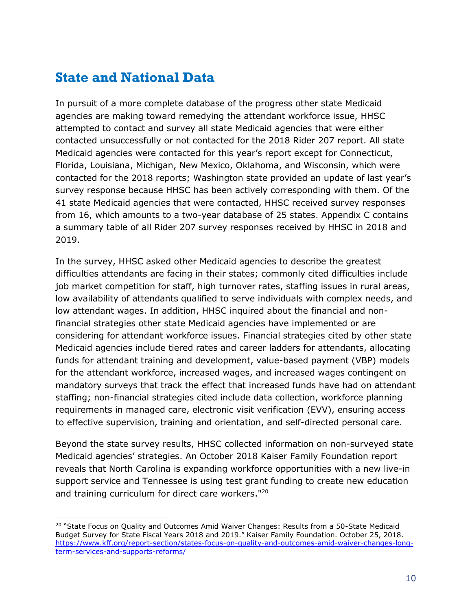### <span id="page-11-0"></span>**State and National Data**

 $\overline{a}$ 

In pursuit of a more complete database of the progress other state Medicaid agencies are making toward remedying the attendant workforce issue, HHSC attempted to contact and survey all state Medicaid agencies that were either contacted unsuccessfully or not contacted for the 2018 Rider 207 report. All state Medicaid agencies were contacted for this year's report except for Connecticut, Florida, Louisiana, Michigan, New Mexico, Oklahoma, and Wisconsin, which were contacted for the 2018 reports; Washington state provided an update of last year's survey response because HHSC has been actively corresponding with them. Of the 41 state Medicaid agencies that were contacted, HHSC received survey responses from 16, which amounts to a two-year database of 25 states. Appendix C contains a summary table of all Rider 207 survey responses received by HHSC in 2018 and 2019.

In the survey, HHSC asked other Medicaid agencies to describe the greatest difficulties attendants are facing in their states; commonly cited difficulties include job market competition for staff, high turnover rates, staffing issues in rural areas, low availability of attendants qualified to serve individuals with complex needs, and low attendant wages. In addition, HHSC inquired about the financial and nonfinancial strategies other state Medicaid agencies have implemented or are considering for attendant workforce issues. Financial strategies cited by other state Medicaid agencies include tiered rates and career ladders for attendants, allocating funds for attendant training and development, value-based payment (VBP) models for the attendant workforce, increased wages, and increased wages contingent on mandatory surveys that track the effect that increased funds have had on attendant staffing; non-financial strategies cited include data collection, workforce planning requirements in managed care, electronic visit verification (EVV), ensuring access to effective supervision, training and orientation, and self-directed personal care.

Beyond the state survey results, HHSC collected information on non-surveyed state Medicaid agencies' strategies. An October 2018 Kaiser Family Foundation report reveals that North Carolina is expanding workforce opportunities with a new live-in support service and Tennessee is using test grant funding to create new education and training curriculum for direct care workers." 20

<sup>&</sup>lt;sup>20</sup> "State Focus on Quality and Outcomes Amid Waiver Changes: Results from a 50-State Medicaid Budget Survey for State Fiscal Years 2018 and 2019." Kaiser Family Foundation. October 25, 2018. [https://www.kff.org/report-section/states-focus-on-quality-and-outcomes-amid-waiver-changes-long](https://www.kff.org/report-section/states-focus-on-quality-and-outcomes-amid-waiver-changes-long-term-services-and-supports-reforms/)[term-services-and-supports-reforms/](https://www.kff.org/report-section/states-focus-on-quality-and-outcomes-amid-waiver-changes-long-term-services-and-supports-reforms/)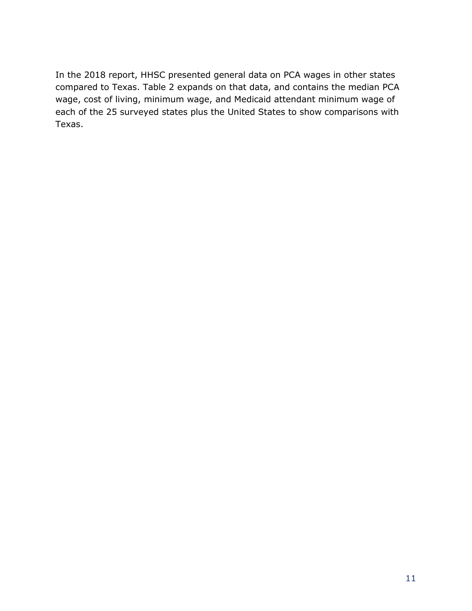In the 2018 report, HHSC presented general data on PCA wages in other states compared to Texas. Table 2 expands on that data, and contains the median PCA wage, cost of living, minimum wage, and Medicaid attendant minimum wage of each of the 25 surveyed states plus the United States to show comparisons with Texas.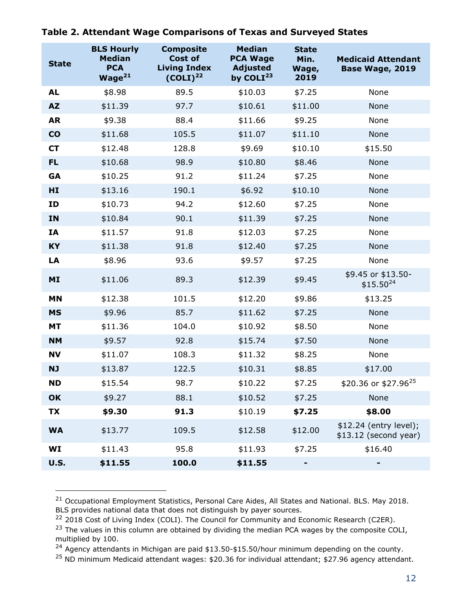| <b>State</b>   | <b>BLS Hourly</b><br><b>Median</b><br><b>PCA</b><br>Wage <sup>21</sup> | <b>Composite</b><br>Cost of<br><b>Living Index</b><br>$(COLI)^{22}$ | <b>Median</b><br><b>PCA Wage</b><br><b>Adjusted</b><br>by COLI $^{23}$ | <b>State</b><br>Min.<br>Wage,<br>2019 | <b>Medicaid Attendant</b><br>Base Wage, 2019     |
|----------------|------------------------------------------------------------------------|---------------------------------------------------------------------|------------------------------------------------------------------------|---------------------------------------|--------------------------------------------------|
| <b>AL</b>      | \$8.98                                                                 | 89.5                                                                | \$10.03                                                                | \$7.25                                | None                                             |
| <b>AZ</b>      | \$11.39                                                                | 97.7                                                                | \$10.61                                                                | \$11.00                               | None                                             |
| <b>AR</b>      | \$9.38                                                                 | 88.4                                                                | \$11.66                                                                | \$9.25                                | None                                             |
| CO             | \$11.68                                                                | 105.5                                                               | \$11.07                                                                | \$11.10                               | None                                             |
| <b>CT</b>      | \$12.48                                                                | 128.8                                                               | \$9.69                                                                 | \$10.10                               | \$15.50                                          |
| FL.            | \$10.68                                                                | 98.9                                                                | \$10.80                                                                | \$8.46                                | None                                             |
| GA             | \$10.25                                                                | 91.2                                                                | \$11.24                                                                | \$7.25                                | None                                             |
| HI             | \$13.16                                                                | 190.1                                                               | \$6.92                                                                 | \$10.10                               | None                                             |
| ID             | \$10.73                                                                | 94.2                                                                | \$12.60                                                                | \$7.25                                | None                                             |
| IN             | \$10.84                                                                | 90.1                                                                | \$11.39                                                                | \$7.25                                | None                                             |
| IA             | \$11.57                                                                | 91.8                                                                | \$12.03                                                                | \$7.25                                | None                                             |
| <b>KY</b>      | \$11.38                                                                | 91.8                                                                | \$12.40                                                                | \$7.25                                | None                                             |
| LA             | \$8.96                                                                 | 93.6                                                                | \$9.57                                                                 | \$7.25                                | None                                             |
| M <sub>I</sub> | \$11.06                                                                | 89.3                                                                | \$12.39                                                                | \$9.45                                | \$9.45 or \$13.50-<br>$$15.50^{24}$              |
| <b>MN</b>      | \$12.38                                                                | 101.5                                                               | \$12.20                                                                | \$9.86                                | \$13.25                                          |
| <b>MS</b>      | \$9.96                                                                 | 85.7                                                                | \$11.62                                                                | \$7.25                                | None                                             |
| <b>MT</b>      | \$11.36                                                                | 104.0                                                               | \$10.92                                                                | \$8.50                                | None                                             |
| <b>NM</b>      | \$9.57                                                                 | 92.8                                                                | \$15.74                                                                | \$7.50                                | None                                             |
| <b>NV</b>      | \$11.07                                                                | 108.3                                                               | \$11.32                                                                | \$8.25                                | None                                             |
| <b>NJ</b>      | \$13.87                                                                | 122.5                                                               | \$10.31                                                                | \$8.85                                | \$17.00                                          |
| <b>ND</b>      | \$15.54                                                                | 98.7                                                                | \$10.22                                                                | \$7.25                                | \$20.36 or \$27.96 <sup>25</sup>                 |
| OK             | \$9.27                                                                 | 88.1                                                                | \$10.52                                                                | \$7.25                                | None                                             |
| TX             | \$9.30                                                                 | 91.3                                                                | \$10.19                                                                | \$7.25                                | \$8.00                                           |
| <b>WA</b>      | \$13.77                                                                | 109.5                                                               | \$12.58                                                                | \$12.00                               | \$12.24 (entry level);<br>$$13.12$ (second year) |
| WI             | \$11.43                                                                | 95.8                                                                | \$11.93                                                                | \$7.25                                | \$16.40                                          |
| <b>U.S.</b>    | \$11.55                                                                | 100.0                                                               | \$11.55                                                                | ۰                                     |                                                  |

**Table 2. Attendant Wage Comparisons of Texas and Surveyed States**

-

<sup>&</sup>lt;sup>21</sup> Occupational Employment Statistics, Personal Care Aides, All States and National. BLS. May 2018. BLS provides national data that does not distinguish by payer sources.

<sup>&</sup>lt;sup>22</sup> 2018 Cost of Living Index (COLI). The Council for Community and Economic Research (C2ER).

 $23$  The values in this column are obtained by dividing the median PCA wages by the composite COLI, multiplied by 100.

 $^{24}$  Agency attendants in Michigan are paid \$13.50-\$15.50/hour minimum depending on the county.

 $^{25}$  ND minimum Medicaid attendant wages: \$20.36 for individual attendant; \$27.96 agency attendant.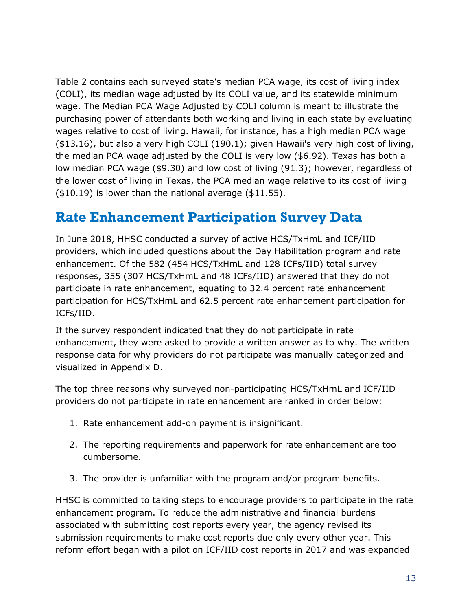Table 2 contains each surveyed state's median PCA wage, its cost of living index (COLI), its median wage adjusted by its COLI value, and its statewide minimum wage. The Median PCA Wage Adjusted by COLI column is meant to illustrate the purchasing power of attendants both working and living in each state by evaluating wages relative to cost of living. Hawaii, for instance, has a high median PCA wage (\$13.16), but also a very high COLI (190.1); given Hawaii's very high cost of living, the median PCA wage adjusted by the COLI is very low (\$6.92). Texas has both a low median PCA wage (\$9.30) and low cost of living (91.3); however, regardless of the lower cost of living in Texas, the PCA median wage relative to its cost of living (\$10.19) is lower than the national average (\$11.55).

### <span id="page-14-0"></span>**Rate Enhancement Participation Survey Data**

In June 2018, HHSC conducted a survey of active HCS/TxHmL and ICF/IID providers, which included questions about the Day Habilitation program and rate enhancement. Of the 582 (454 HCS/TxHmL and 128 ICFs/IID) total survey responses, 355 (307 HCS/TxHmL and 48 ICFs/IID) answered that they do not participate in rate enhancement, equating to 32.4 percent rate enhancement participation for HCS/TxHmL and 62.5 percent rate enhancement participation for ICFs/IID.

If the survey respondent indicated that they do not participate in rate enhancement, they were asked to provide a written answer as to why. The written response data for why providers do not participate was manually categorized and visualized in Appendix D.

The top three reasons why surveyed non-participating HCS/TxHmL and ICF/IID providers do not participate in rate enhancement are ranked in order below:

- 1. Rate enhancement add-on payment is insignificant.
- 2. The reporting requirements and paperwork for rate enhancement are too cumbersome.
- 3. The provider is unfamiliar with the program and/or program benefits.

HHSC is committed to taking steps to encourage providers to participate in the rate enhancement program. To reduce the administrative and financial burdens associated with submitting cost reports every year, the agency revised its submission requirements to make cost reports due only every other year. This reform effort began with a pilot on ICF/IID cost reports in 2017 and was expanded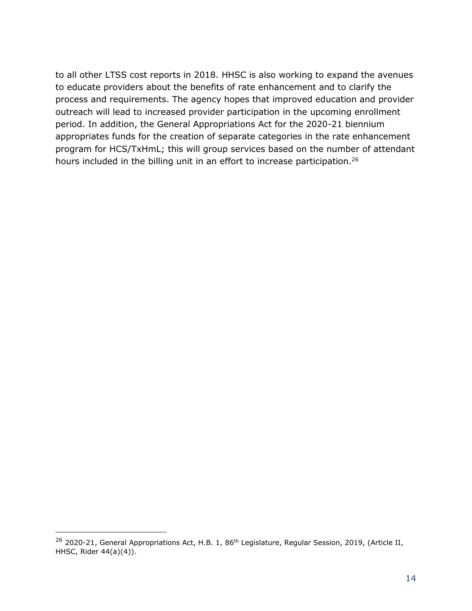to all other LTSS cost reports in 2018. HHSC is also working to expand the avenues to educate providers about the benefits of rate enhancement and to clarify the process and requirements. The agency hopes that improved education and provider outreach will lead to increased provider participation in the upcoming enrollment period. In addition, the General Appropriations Act for the 2020-21 biennium appropriates funds for the creation of separate categories in the rate enhancement program for HCS/TxHmL; this will group services based on the number of attendant hours included in the billing unit in an effort to increase participation.<sup>26</sup>

j

<sup>&</sup>lt;sup>26</sup> 2020-21, General Appropriations Act, H.B. 1, 86<sup>th</sup> Legislature, Regular Session, 2019, (Article II, HHSC, Rider 44(a)(4)).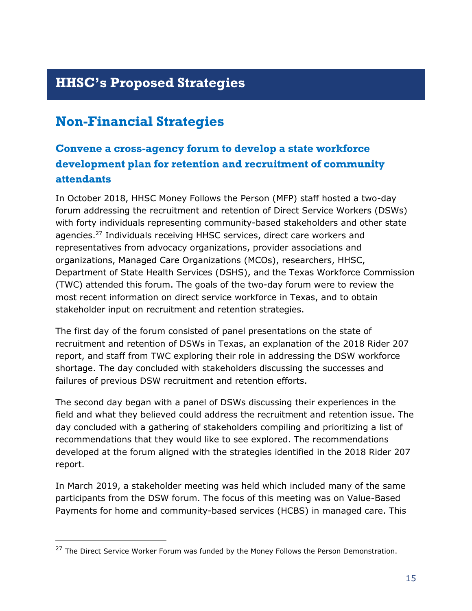# <span id="page-16-0"></span>**HHSC's Proposed Strategies**

# <span id="page-16-1"></span>**Non-Financial Strategies**

 $\overline{a}$ 

### **Convene a cross-agency forum to develop a state workforce development plan for retention and recruitment of community attendants**

In October 2018, HHSC Money Follows the Person (MFP) staff hosted a two-day forum addressing the recruitment and retention of Direct Service Workers (DSWs) with forty individuals representing community-based stakeholders and other state agencies.<sup>27</sup> Individuals receiving HHSC services, direct care workers and representatives from advocacy organizations, provider associations and organizations, Managed Care Organizations (MCOs), researchers, HHSC, Department of State Health Services (DSHS), and the Texas Workforce Commission (TWC) attended this forum. The goals of the two-day forum were to review the most recent information on direct service workforce in Texas, and to obtain stakeholder input on recruitment and retention strategies.

The first day of the forum consisted of panel presentations on the state of recruitment and retention of DSWs in Texas, an explanation of the 2018 Rider 207 report, and staff from TWC exploring their role in addressing the DSW workforce shortage. The day concluded with stakeholders discussing the successes and failures of previous DSW recruitment and retention efforts.

The second day began with a panel of DSWs discussing their experiences in the field and what they believed could address the recruitment and retention issue. The day concluded with a gathering of stakeholders compiling and prioritizing a list of recommendations that they would like to see explored. The recommendations developed at the forum aligned with the strategies identified in the 2018 Rider 207 report.

In March 2019, a stakeholder meeting was held which included many of the same participants from the DSW forum. The focus of this meeting was on Value-Based Payments for home and community-based services (HCBS) in managed care. This

<sup>&</sup>lt;sup>27</sup> The Direct Service Worker Forum was funded by the Money Follows the Person Demonstration.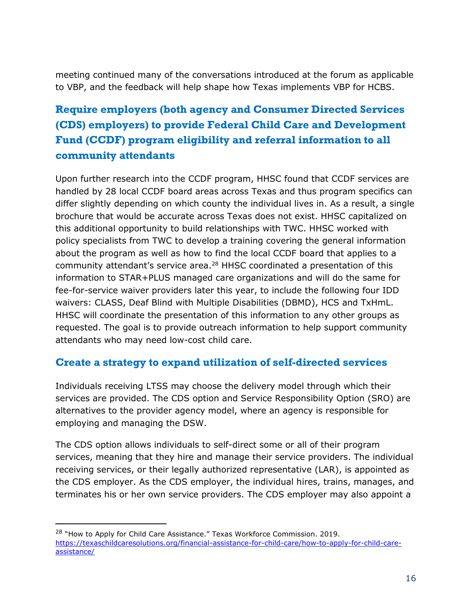meeting continued many of the conversations introduced at the forum as applicable to VBP, and the feedback will help shape how Texas implements VBP for HCBS.

### **Require employers (both agency and Consumer Directed Services (CDS) employers) to provide Federal Child Care and Development Fund (CCDF) program eligibility and referral information to all community attendants**

Upon further research into the CCDF program, HHSC found that CCDF services are handled by 28 local CCDF board areas across Texas and thus program specifics can differ slightly depending on which county the individual lives in. As a result, a single brochure that would be accurate across Texas does not exist. HHSC capitalized on this additional opportunity to build relationships with TWC. HHSC worked with policy specialists from TWC to develop a training covering the general information about the program as well as how to find the local CCDF board that applies to a community attendant's service area.<sup>28</sup> HHSC coordinated a presentation of this information to STAR+PLUS managed care organizations and will do the same for fee-for-service waiver providers later this year, to include the following four IDD waivers: CLASS, Deaf Blind with Multiple Disabilities (DBMD), HCS and TxHmL. HHSC will coordinate the presentation of this information to any other groups as requested. The goal is to provide outreach information to help support community attendants who may need low-cost child care.

#### **Create a strategy to expand utilization of self-directed services**

Individuals receiving LTSS may choose the delivery model through which their services are provided. The CDS option and Service Responsibility Option (SRO) are alternatives to the provider agency model, where an agency is responsible for employing and managing the DSW.

The CDS option allows individuals to self-direct some or all of their program services, meaning that they hire and manage their service providers. The individual receiving services, or their legally authorized representative (LAR), is appointed as the CDS employer. As the CDS employer, the individual hires, trains, manages, and terminates his or her own service providers. The CDS employer may also appoint a

j

<sup>&</sup>lt;sup>28</sup> "How to Apply for Child Care Assistance." Texas Workforce Commission. 2019. [https://texaschildcaresolutions.org/financial-assistance-for-child-care/how-to-apply-for-child-care](https://texaschildcaresolutions.org/financial-assistance-for-child-care/how-to-apply-for-child-care-assistance/)[assistance/](https://texaschildcaresolutions.org/financial-assistance-for-child-care/how-to-apply-for-child-care-assistance/)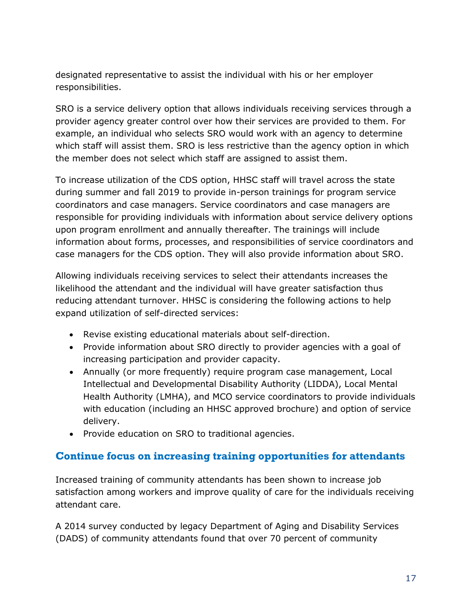designated representative to assist the individual with his or her employer responsibilities.

SRO is a service delivery option that allows individuals receiving services through a provider agency greater control over how their services are provided to them. For example, an individual who selects SRO would work with an agency to determine which staff will assist them. SRO is less restrictive than the agency option in which the member does not select which staff are assigned to assist them.

To increase utilization of the CDS option, HHSC staff will travel across the state during summer and fall 2019 to provide in-person trainings for program service coordinators and case managers. Service coordinators and case managers are responsible for providing individuals with information about service delivery options upon program enrollment and annually thereafter. The trainings will include information about forms, processes, and responsibilities of service coordinators and case managers for the CDS option. They will also provide information about SRO.

Allowing individuals receiving services to select their attendants increases the likelihood the attendant and the individual will have greater satisfaction thus reducing attendant turnover. HHSC is considering the following actions to help expand utilization of self-directed services:

- Revise existing educational materials about self-direction.
- Provide information about SRO directly to provider agencies with a goal of increasing participation and provider capacity.
- Annually (or more frequently) require program case management, Local Intellectual and Developmental Disability Authority (LIDDA), Local Mental Health Authority (LMHA), and MCO service coordinators to provide individuals with education (including an HHSC approved brochure) and option of service delivery.
- Provide education on SRO to traditional agencies.

#### **Continue focus on increasing training opportunities for attendants**

Increased training of community attendants has been shown to increase job satisfaction among workers and improve quality of care for the individuals receiving attendant care.

A 2014 survey conducted by legacy Department of Aging and Disability Services (DADS) of community attendants found that over 70 percent of community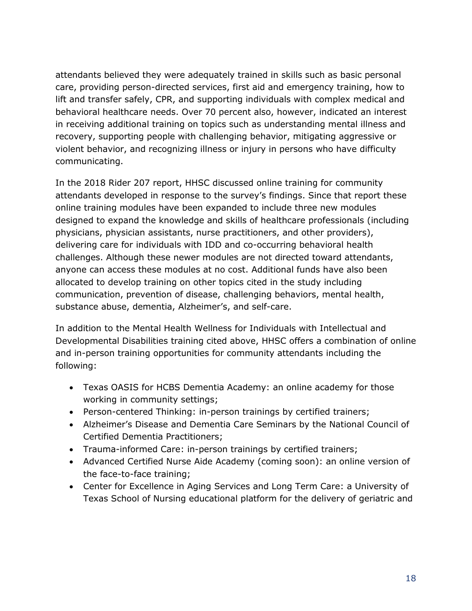attendants believed they were adequately trained in skills such as basic personal care, providing person-directed services, first aid and emergency training, how to lift and transfer safely, CPR, and supporting individuals with complex medical and behavioral healthcare needs. Over 70 percent also, however, indicated an interest in receiving additional training on topics such as understanding mental illness and recovery, supporting people with challenging behavior, mitigating aggressive or violent behavior, and recognizing illness or injury in persons who have difficulty communicating.

In the 2018 Rider 207 report, HHSC discussed online training for community attendants developed in response to the survey's findings. Since that report these online training modules have been expanded to include three new modules designed to expand the knowledge and skills of healthcare professionals (including physicians, physician assistants, nurse practitioners, and other providers), delivering care for individuals with IDD and co-occurring behavioral health challenges. Although these newer modules are not directed toward attendants, anyone can access these modules at no cost. Additional funds have also been allocated to develop training on other topics cited in the study including communication, prevention of disease, challenging behaviors, mental health, substance abuse, dementia, Alzheimer's, and self-care.

In addition to the Mental Health Wellness for Individuals with Intellectual and Developmental Disabilities training cited above, HHSC offers a combination of online and in-person training opportunities for community attendants including the following:

- Texas OASIS for HCBS Dementia Academy: an online academy for those working in community settings;
- Person-centered Thinking: in-person trainings by certified trainers;
- Alzheimer's Disease and Dementia Care Seminars by the National Council of Certified Dementia Practitioners;
- Trauma-informed Care: in-person trainings by certified trainers;
- Advanced Certified Nurse Aide Academy (coming soon): an online version of the face-to-face training;
- Center for Excellence in Aging Services and Long Term Care: a University of Texas School of Nursing educational platform for the delivery of geriatric and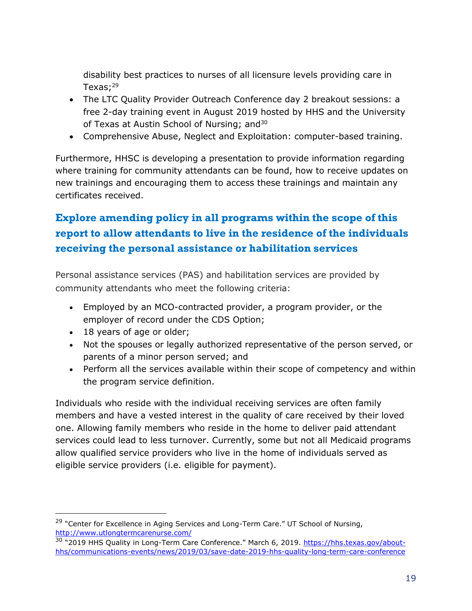disability best practices to nurses of all licensure levels providing care in Texas; $^{29}$ 

- The LTC Quality Provider Outreach Conference day 2 breakout sessions: a free 2-day training event in August 2019 hosted by HHS and the University of Texas at Austin School of Nursing; and<sup>30</sup>
- Comprehensive Abuse, Neglect and Exploitation: computer-based training.

Furthermore, HHSC is developing a presentation to provide information regarding where training for community attendants can be found, how to receive updates on new trainings and encouraging them to access these trainings and maintain any certificates received.

### **Explore amending policy in all programs within the scope of this report to allow attendants to live in the residence of the individuals receiving the personal assistance or habilitation services**

Personal assistance services (PAS) and habilitation services are provided by community attendants who meet the following criteria:

- Employed by an MCO-contracted provider, a program provider, or the employer of record under the CDS Option;
- 18 years of age or older;

j

- Not the spouses or legally authorized representative of the person served, or parents of a minor person served; and
- Perform all the services available within their scope of competency and within the program service definition.

Individuals who reside with the individual receiving services are often family members and have a vested interest in the quality of care received by their loved one. Allowing family members who reside in the home to deliver paid attendant services could lead to less turnover. Currently, some but not all Medicaid programs allow qualified service providers who live in the home of individuals served as eligible service providers (i.e. eligible for payment).

<sup>&</sup>lt;sup>29</sup> "Center for Excellence in Aging Services and Long-Term Care." UT School of Nursing, <http://www.utlongtermcarenurse.com/>

<sup>&</sup>lt;sup>30</sup> "2019 HHS Quality in Long-Term Care Conference." March 6, 2019. [https://hhs.texas.gov/about](https://hhs.texas.gov/about-hhs/communications-events/news/2019/03/save-date-2019-hhs-quality-long-term-care-conference)[hhs/communications-events/news/2019/03/save-date-2019-hhs-quality-long-term-care-conference](https://hhs.texas.gov/about-hhs/communications-events/news/2019/03/save-date-2019-hhs-quality-long-term-care-conference)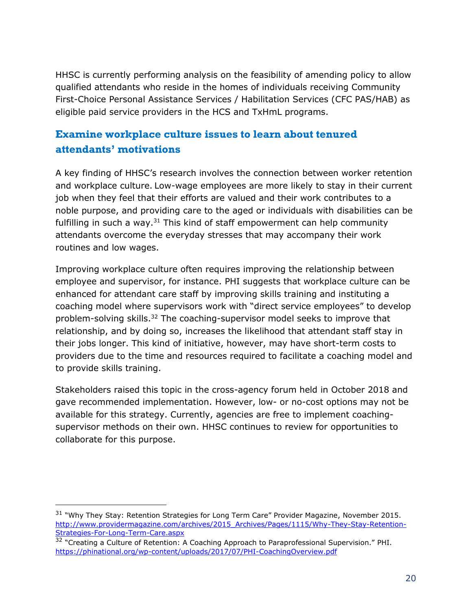HHSC is currently performing analysis on the feasibility of amending policy to allow qualified attendants who reside in the homes of individuals receiving Community First-Choice Personal Assistance Services / Habilitation Services (CFC PAS/HAB) as eligible paid service providers in the HCS and TxHmL programs.

### **Examine workplace culture issues to learn about tenured attendants' motivations**

A key finding of HHSC's research involves the connection between worker retention and workplace culture. Low-wage employees are more likely to stay in their current job when they feel that their efforts are valued and their work contributes to a noble purpose, and providing care to the aged or individuals with disabilities can be fulfilling in such a way. $31$  This kind of staff empowerment can help community attendants overcome the everyday stresses that may accompany their work routines and low wages.

Improving workplace culture often requires improving the relationship between employee and supervisor, for instance. PHI suggests that workplace culture can be enhanced for attendant care staff by improving skills training and instituting a coaching model where supervisors work with "direct service employees" to develop problem-solving skills.<sup>32</sup> The coaching-supervisor model seeks to improve that relationship, and by doing so, increases the likelihood that attendant staff stay in their jobs longer. This kind of initiative, however, may have short-term costs to providers due to the time and resources required to facilitate a coaching model and to provide skills training.

Stakeholders raised this topic in the cross-agency forum held in October 2018 and gave recommended implementation. However, low- or no-cost options may not be available for this strategy. Currently, agencies are free to implement coachingsupervisor methods on their own. HHSC continues to review for opportunities to collaborate for this purpose.

j

<sup>&</sup>lt;sup>31</sup> "Why They Stay: Retention Strategies for Long Term Care" Provider Magazine, November 2015. [http://www.providermagazine.com/archives/2015\\_Archives/Pages/1115/Why-They-Stay-Retention-](http://www.providermagazine.com/archives/2015_Archives/Pages/1115/Why-They-Stay-Retention-Strategies-For-Long-Term-Care.aspx)[Strategies-For-Long-Term-Care.aspx](http://www.providermagazine.com/archives/2015_Archives/Pages/1115/Why-They-Stay-Retention-Strategies-For-Long-Term-Care.aspx)

<sup>&</sup>lt;sup>32</sup> "Creating a Culture of Retention: A Coaching Approach to Paraprofessional Supervision." PHI. <https://phinational.org/wp-content/uploads/2017/07/PHI-CoachingOverview.pdf>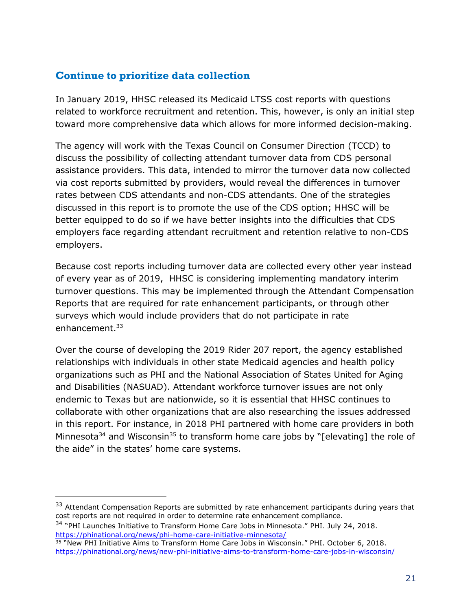#### **Continue to prioritize data collection**

In January 2019, HHSC released its Medicaid LTSS cost reports with questions related to workforce recruitment and retention. This, however, is only an initial step toward more comprehensive data which allows for more informed decision-making.

The agency will work with the Texas Council on Consumer Direction (TCCD) to discuss the possibility of collecting attendant turnover data from CDS personal assistance providers. This data, intended to mirror the turnover data now collected via cost reports submitted by providers, would reveal the differences in turnover rates between CDS attendants and non-CDS attendants. One of the strategies discussed in this report is to promote the use of the CDS option; HHSC will be better equipped to do so if we have better insights into the difficulties that CDS employers face regarding attendant recruitment and retention relative to non-CDS employers.

Because cost reports including turnover data are collected every other year instead of every year as of 2019, HHSC is considering implementing mandatory interim turnover questions. This may be implemented through the Attendant Compensation Reports that are required for rate enhancement participants, or through other surveys which would include providers that do not participate in rate enhancement. 33

Over the course of developing the 2019 Rider 207 report, the agency established relationships with individuals in other state Medicaid agencies and health policy organizations such as PHI and the National Association of States United for Aging and Disabilities (NASUAD). Attendant workforce turnover issues are not only endemic to Texas but are nationwide, so it is essential that HHSC continues to collaborate with other organizations that are also researching the issues addressed in this report. For instance, in 2018 PHI partnered with home care providers in both Minnesota<sup>34</sup> and Wisconsin<sup>35</sup> to transform home care jobs by "[elevating] the role of the aide" in the states' home care systems.

 $33$  Attendant Compensation Reports are submitted by rate enhancement participants during years that cost reports are not required in order to determine rate enhancement compliance.

<sup>34</sup> "PHI Launches Initiative to Transform Home Care Jobs in Minnesota." PHI. July 24, 2018. <https://phinational.org/news/phi-home-care-initiative-minnesota/>

j

<sup>35</sup> "New PHI Initiative Aims to Transform Home Care Jobs in Wisconsin." PHI. October 6, 2018. <https://phinational.org/news/new-phi-initiative-aims-to-transform-home-care-jobs-in-wisconsin/>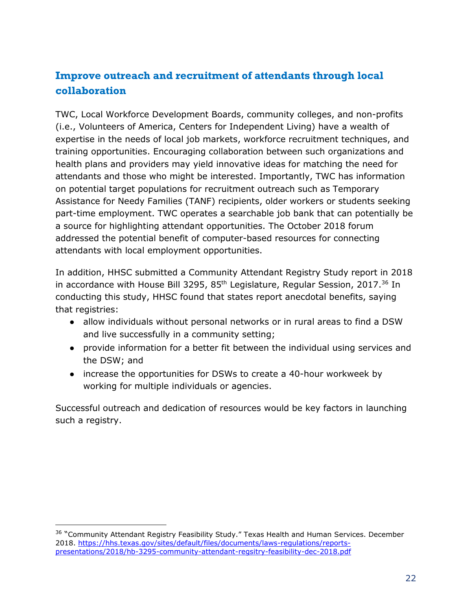### **Improve outreach and recruitment of attendants through local collaboration**

TWC, Local Workforce Development Boards, community colleges, and non-profits (i.e., Volunteers of America, Centers for Independent Living) have a wealth of expertise in the needs of local job markets, workforce recruitment techniques, and training opportunities. Encouraging collaboration between such organizations and health plans and providers may yield innovative ideas for matching the need for attendants and those who might be interested. Importantly, TWC has information on potential target populations for recruitment outreach such as Temporary Assistance for Needy Families (TANF) recipients, older workers or students seeking part-time employment. TWC operates a searchable job bank that can potentially be a source for highlighting attendant opportunities. The October 2018 forum addressed the potential benefit of computer-based resources for connecting attendants with local employment opportunities.

In addition, HHSC submitted a Community Attendant Registry Study report in 2018 in accordance with House Bill 3295, 85<sup>th</sup> Legislature, Regular Session, 2017.<sup>36</sup> In conducting this study, HHSC found that states report anecdotal benefits, saying that registries:

- allow individuals without personal networks or in rural areas to find a DSW and live successfully in a community setting;
- provide information for a better fit between the individual using services and the DSW; and
- increase the opportunities for DSWs to create a 40-hour workweek by working for multiple individuals or agencies.

Successful outreach and dedication of resources would be key factors in launching such a registry.

 $\overline{a}$ 

<sup>&</sup>lt;sup>36</sup> "Community Attendant Registry Feasibility Study." Texas Health and Human Services. December 2018. [https://hhs.texas.gov/sites/default/files/documents/laws-regulations/reports](https://hhs.texas.gov/sites/default/files/documents/laws-regulations/reports-presentations/2018/hb-3295-community-attendant-regsitry-feasibility-dec-2018.pdf)[presentations/2018/hb-3295-community-attendant-regsitry-feasibility-dec-2018.pdf](https://hhs.texas.gov/sites/default/files/documents/laws-regulations/reports-presentations/2018/hb-3295-community-attendant-regsitry-feasibility-dec-2018.pdf)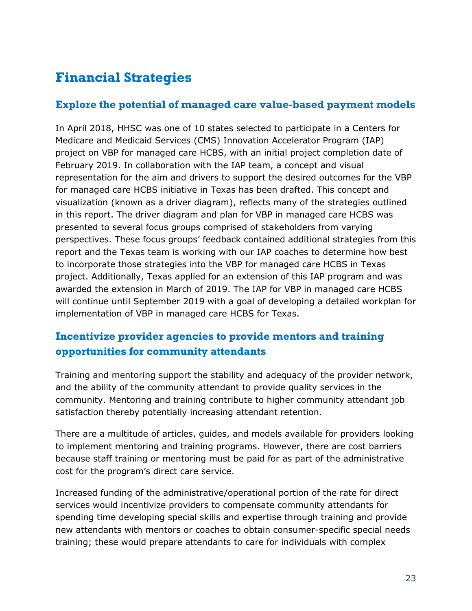# <span id="page-24-0"></span>**Financial Strategies**

#### **Explore the potential of managed care value-based payment models**

In April 2018, HHSC was one of 10 states selected to participate in a Centers for Medicare and Medicaid Services (CMS) Innovation Accelerator Program (IAP) project on VBP for managed care HCBS, with an initial project completion date of February 2019. In collaboration with the IAP team, a concept and visual representation for the aim and drivers to support the desired outcomes for the VBP for managed care HCBS initiative in Texas has been drafted. This concept and visualization (known as a driver diagram), reflects many of the strategies outlined in this report. The driver diagram and plan for VBP in managed care HCBS was presented to several focus groups comprised of stakeholders from varying perspectives. These focus groups' feedback contained additional strategies from this report and the Texas team is working with our IAP coaches to determine how best to incorporate those strategies into the VBP for managed care HCBS in Texas project. Additionally, Texas applied for an extension of this IAP program and was awarded the extension in March of 2019. The IAP for VBP in managed care HCBS will continue until September 2019 with a goal of developing a detailed workplan for implementation of VBP in managed care HCBS for Texas.

### **Incentivize provider agencies to provide mentors and training opportunities for community attendants**

Training and mentoring support the stability and adequacy of the provider network, and the ability of the community attendant to provide quality services in the community. Mentoring and training contribute to higher community attendant job satisfaction thereby potentially increasing attendant retention.

There are a multitude of articles, guides, and models available for providers looking to implement mentoring and training programs. However, there are cost barriers because staff training or mentoring must be paid for as part of the administrative cost for the program's direct care service.

Increased funding of the administrative/operational portion of the rate for direct services would incentivize providers to compensate community attendants for spending time developing special skills and expertise through training and provide new attendants with mentors or coaches to obtain consumer-specific special needs training; these would prepare attendants to care for individuals with complex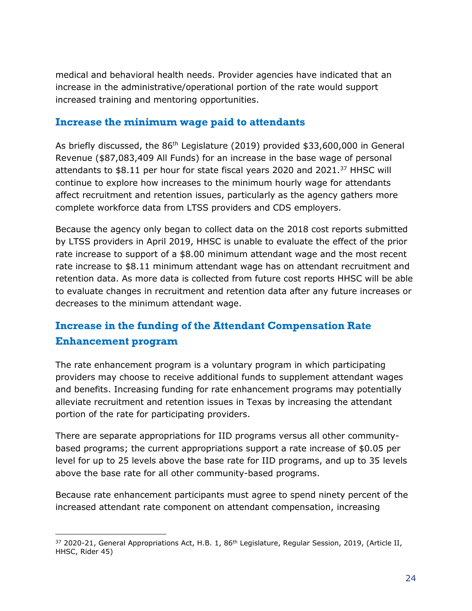medical and behavioral health needs. Provider agencies have indicated that an increase in the administrative/operational portion of the rate would support increased training and mentoring opportunities.

#### **Increase the minimum wage paid to attendants**

As briefly discussed, the 86<sup>th</sup> Legislature (2019) provided \$33,600,000 in General Revenue (\$87,083,409 All Funds) for an increase in the base wage of personal attendants to \$8.11 per hour for state fiscal years 2020 and 2021.<sup>37</sup> HHSC will continue to explore how increases to the minimum hourly wage for attendants affect recruitment and retention issues, particularly as the agency gathers more complete workforce data from LTSS providers and CDS employers.

Because the agency only began to collect data on the 2018 cost reports submitted by LTSS providers in April 2019, HHSC is unable to evaluate the effect of the prior rate increase to support of a \$8.00 minimum attendant wage and the most recent rate increase to \$8.11 minimum attendant wage has on attendant recruitment and retention data. As more data is collected from future cost reports HHSC will be able to evaluate changes in recruitment and retention data after any future increases or decreases to the minimum attendant wage.

### **Increase in the funding of the Attendant Compensation Rate Enhancement program**

The rate enhancement program is a voluntary program in which participating providers may choose to receive additional funds to supplement attendant wages and benefits. Increasing funding for rate enhancement programs may potentially alleviate recruitment and retention issues in Texas by increasing the attendant portion of the rate for participating providers.

There are separate appropriations for IID programs versus all other communitybased programs; the current appropriations support a rate increase of \$0.05 per level for up to 25 levels above the base rate for IID programs, and up to 35 levels above the base rate for all other community-based programs.

Because rate enhancement participants must agree to spend ninety percent of the increased attendant rate component on attendant compensation, increasing

 $\overline{a}$ 37 2020-21, General Appropriations Act, H.B. 1, 86<sup>th</sup> Legislature, Regular Session, 2019, (Article II, HHSC, Rider 45)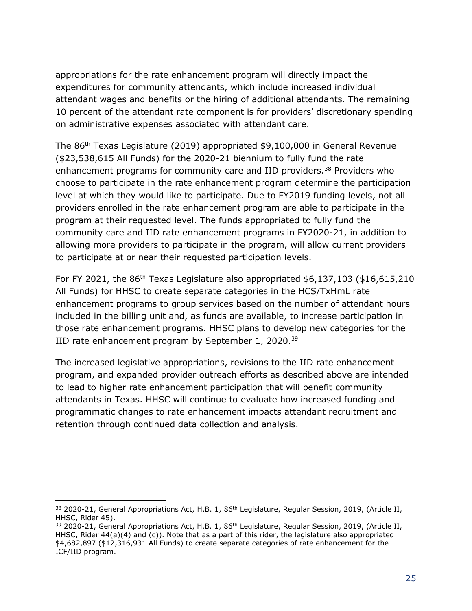appropriations for the rate enhancement program will directly impact the expenditures for community attendants, which include increased individual attendant wages and benefits or the hiring of additional attendants. The remaining 10 percent of the attendant rate component is for providers' discretionary spending on administrative expenses associated with attendant care.

The 86th Texas Legislature (2019) appropriated \$9,100,000 in General Revenue (\$23,538,615 All Funds) for the 2020-21 biennium to fully fund the rate enhancement programs for community care and IID providers.<sup>38</sup> Providers who choose to participate in the rate enhancement program determine the participation level at which they would like to participate. Due to FY2019 funding levels, not all providers enrolled in the rate enhancement program are able to participate in the program at their requested level. The funds appropriated to fully fund the community care and IID rate enhancement programs in FY2020-21, in addition to allowing more providers to participate in the program, will allow current providers to participate at or near their requested participation levels.

For FY 2021, the  $86<sup>th</sup>$  Texas Legislature also appropriated \$6,137,103 (\$16,615,210) All Funds) for HHSC to create separate categories in the HCS/TxHmL rate enhancement programs to group services based on the number of attendant hours included in the billing unit and, as funds are available, to increase participation in those rate enhancement programs. HHSC plans to develop new categories for the IID rate enhancement program by September 1, 2020.<sup>39</sup>

The increased legislative appropriations, revisions to the IID rate enhancement program, and expanded provider outreach efforts as described above are intended to lead to higher rate enhancement participation that will benefit community attendants in Texas. HHSC will continue to evaluate how increased funding and programmatic changes to rate enhancement impacts attendant recruitment and retention through continued data collection and analysis.

j

<sup>&</sup>lt;sup>38</sup> 2020-21, General Appropriations Act, H.B. 1, 86<sup>th</sup> Legislature, Regular Session, 2019, (Article II, HHSC, Rider 45).

<sup>39 2020-21,</sup> General Appropriations Act, H.B. 1, 86<sup>th</sup> Legislature, Regular Session, 2019, (Article II, HHSC, Rider 44(a)(4) and (c)). Note that as a part of this rider, the legislature also appropriated \$4,682,897 (\$12,316,931 All Funds) to create separate categories of rate enhancement for the ICF/IID program.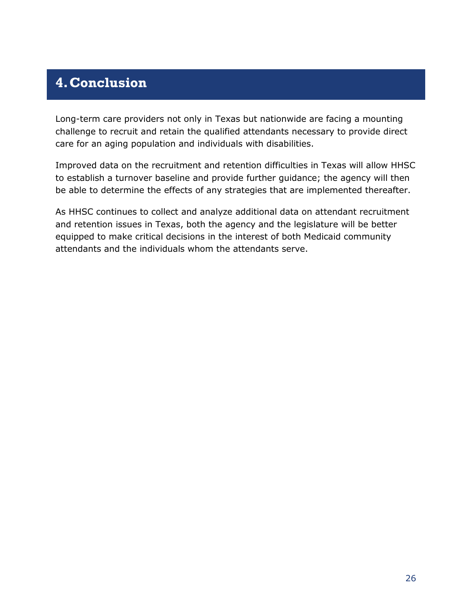# <span id="page-27-0"></span>**4.Conclusion**

Long-term care providers not only in Texas but nationwide are facing a mounting challenge to recruit and retain the qualified attendants necessary to provide direct care for an aging population and individuals with disabilities.

Improved data on the recruitment and retention difficulties in Texas will allow HHSC to establish a turnover baseline and provide further guidance; the agency will then be able to determine the effects of any strategies that are implemented thereafter.

As HHSC continues to collect and analyze additional data on attendant recruitment and retention issues in Texas, both the agency and the legislature will be better equipped to make critical decisions in the interest of both Medicaid community attendants and the individuals whom the attendants serve.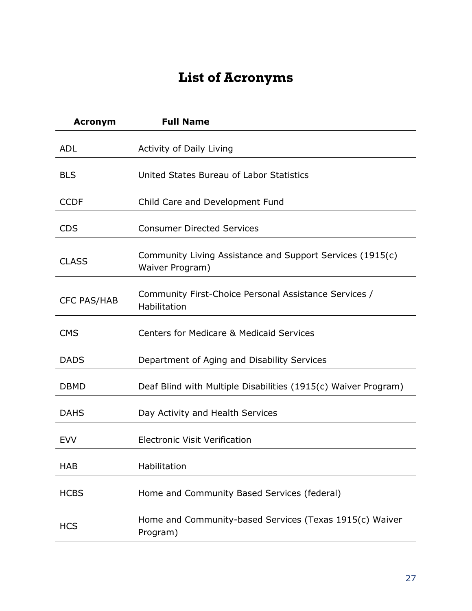# **List of Acronyms**

<span id="page-28-0"></span>

| <b>Acronym</b>     | <b>Full Name</b>                                                             |
|--------------------|------------------------------------------------------------------------------|
| <b>ADL</b>         | Activity of Daily Living                                                     |
| <b>BLS</b>         | United States Bureau of Labor Statistics                                     |
| <b>CCDF</b>        | Child Care and Development Fund                                              |
| <b>CDS</b>         | <b>Consumer Directed Services</b>                                            |
| <b>CLASS</b>       | Community Living Assistance and Support Services (1915(c)<br>Waiver Program) |
| <b>CFC PAS/HAB</b> | Community First-Choice Personal Assistance Services /<br>Habilitation        |
| <b>CMS</b>         | <b>Centers for Medicare &amp; Medicaid Services</b>                          |
| <b>DADS</b>        | Department of Aging and Disability Services                                  |
| <b>DBMD</b>        | Deaf Blind with Multiple Disabilities (1915(c) Waiver Program)               |
| <b>DAHS</b>        | Day Activity and Health Services                                             |
| <b>EVV</b>         | <b>Electronic Visit Verification</b>                                         |
| <b>HAB</b>         | Habilitation                                                                 |
| <b>HCBS</b>        | Home and Community Based Services (federal)                                  |
| <b>HCS</b>         | Home and Community-based Services (Texas 1915(c) Waiver<br>Program)          |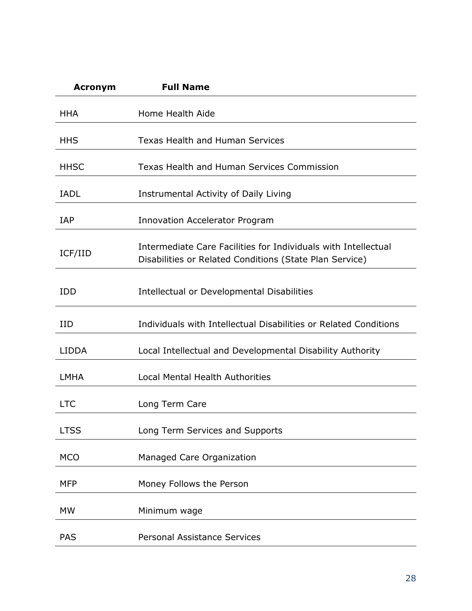| <b>Acronym</b> | <b>Full Name</b>                                                                                                          |
|----------------|---------------------------------------------------------------------------------------------------------------------------|
| <b>HHA</b>     | Home Health Aide                                                                                                          |
| <b>HHS</b>     | <b>Texas Health and Human Services</b>                                                                                    |
| <b>HHSC</b>    | Texas Health and Human Services Commission                                                                                |
| <b>IADL</b>    | Instrumental Activity of Daily Living                                                                                     |
| <b>IAP</b>     | <b>Innovation Accelerator Program</b>                                                                                     |
| ICF/IID        | Intermediate Care Facilities for Individuals with Intellectual<br>Disabilities or Related Conditions (State Plan Service) |
| <b>IDD</b>     | Intellectual or Developmental Disabilities                                                                                |
| <b>IID</b>     | Individuals with Intellectual Disabilities or Related Conditions                                                          |
| <b>LIDDA</b>   | Local Intellectual and Developmental Disability Authority                                                                 |
| <b>LMHA</b>    | <b>Local Mental Health Authorities</b>                                                                                    |
| <b>LTC</b>     | Long Term Care                                                                                                            |
| <b>LTSS</b>    | Long Term Services and Supports                                                                                           |
| <b>MCO</b>     | Managed Care Organization                                                                                                 |
| <b>MFP</b>     | Money Follows the Person                                                                                                  |
| <b>MW</b>      | Minimum wage                                                                                                              |
| <b>PAS</b>     | <b>Personal Assistance Services</b>                                                                                       |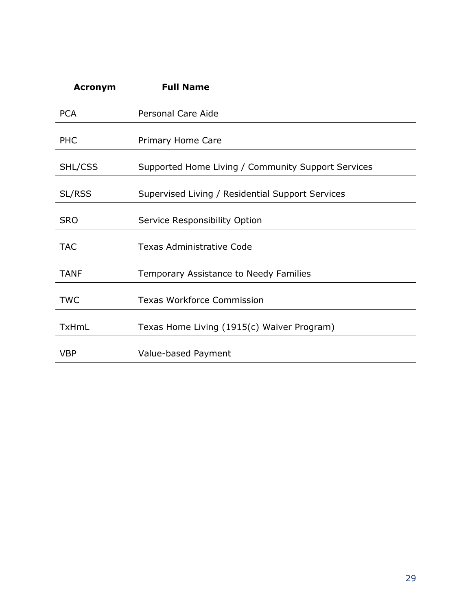| <b>Acronym</b> | <b>Full Name</b>                                   |
|----------------|----------------------------------------------------|
| <b>PCA</b>     | Personal Care Aide                                 |
| <b>PHC</b>     | Primary Home Care                                  |
| SHL/CSS        | Supported Home Living / Community Support Services |
| SL/RSS         | Supervised Living / Residential Support Services   |
| <b>SRO</b>     | Service Responsibility Option                      |
| <b>TAC</b>     | <b>Texas Administrative Code</b>                   |
| TANF           | <b>Temporary Assistance to Needy Families</b>      |
| <b>TWC</b>     | <b>Texas Workforce Commission</b>                  |
| <b>TxHmL</b>   | Texas Home Living (1915(c) Waiver Program)         |
| <b>VBP</b>     | Value-based Payment                                |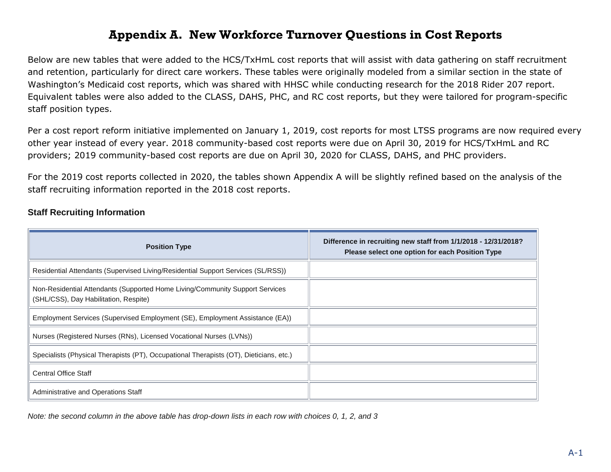### <span id="page-31-0"></span>**Appendix A. New Workforce Turnover Questions in Cost Reports**

Below are new tables that were added to the HCS/TxHmL cost reports that will assist with data gathering on staff recruitment and retention, particularly for direct care workers. These tables were originally modeled from a similar section in the state of Washington's Medicaid cost reports, which was shared with HHSC while conducting research for the 2018 Rider 207 report. Equivalent tables were also added to the CLASS, DAHS, PHC, and RC cost reports, but they were tailored for program-specific staff position types.

Per a cost report reform initiative implemented on January 1, 2019, cost reports for most LTSS programs are now required every other year instead of every year. 2018 community-based cost reports were due on April 30, 2019 for HCS/TxHmL and RC providers; 2019 community-based cost reports are due on April 30, 2020 for CLASS, DAHS, and PHC providers.

For the 2019 cost reports collected in 2020, the tables shown Appendix A will be slightly refined based on the analysis of the staff recruiting information reported in the 2018 cost reports.

| <b>Position Type</b>                                                                                                  | Difference in recruiting new staff from 1/1/2018 - 12/31/2018?<br>Please select one option for each Position Type |
|-----------------------------------------------------------------------------------------------------------------------|-------------------------------------------------------------------------------------------------------------------|
| Residential Attendants (Supervised Living/Residential Support Services (SL/RSS))                                      |                                                                                                                   |
| Non-Residential Attendants (Supported Home Living/Community Support Services<br>(SHL/CSS), Day Habilitation, Respite) |                                                                                                                   |
| Employment Services (Supervised Employment (SE), Employment Assistance (EA))                                          |                                                                                                                   |
| Nurses (Registered Nurses (RNs), Licensed Vocational Nurses (LVNs))                                                   |                                                                                                                   |
| Specialists (Physical Therapists (PT), Occupational Therapists (OT), Dieticians, etc.)                                |                                                                                                                   |
| <b>Central Office Staff</b>                                                                                           |                                                                                                                   |
| Administrative and Operations Staff                                                                                   |                                                                                                                   |

#### **Staff Recruiting Information**

*Note: the second column in the above table has drop-down lists in each row with choices 0, 1, 2, and 3*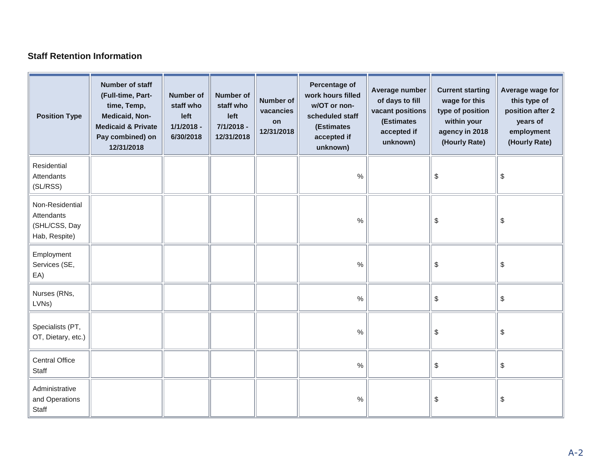#### **Staff Retention Information**

| <b>Position Type</b>                                            | Number of staff<br>(Full-time, Part-<br>time, Temp,<br>Medicaid, Non-<br><b>Medicaid &amp; Private</b><br>Pay combined) on<br>12/31/2018 | <b>Number of</b><br>staff who<br>left<br>$1/1/2018 -$<br>6/30/2018 | <b>Number of</b><br>staff who<br>left<br>7/1/2018 -<br>12/31/2018 | Number of<br>vacancies<br>on<br>12/31/2018 | Percentage of<br>work hours filled<br>w/OT or non-<br>scheduled staff<br>(Estimates<br>accepted if<br>unknown) | Average number<br>of days to fill<br>vacant positions<br>(Estimates<br>accepted if<br>unknown) | <b>Current starting</b><br>wage for this<br>type of position<br>within your<br>agency in 2018<br>(Hourly Rate) | Average wage for<br>this type of<br>position after 2<br>years of<br>employment<br>(Hourly Rate) |
|-----------------------------------------------------------------|------------------------------------------------------------------------------------------------------------------------------------------|--------------------------------------------------------------------|-------------------------------------------------------------------|--------------------------------------------|----------------------------------------------------------------------------------------------------------------|------------------------------------------------------------------------------------------------|----------------------------------------------------------------------------------------------------------------|-------------------------------------------------------------------------------------------------|
| Residential<br>Attendants<br>(SL/RSS)                           |                                                                                                                                          |                                                                    |                                                                   |                                            | $\%$                                                                                                           |                                                                                                | \$                                                                                                             | \$                                                                                              |
| Non-Residential<br>Attendants<br>(SHL/CSS, Day<br>Hab, Respite) |                                                                                                                                          |                                                                    |                                                                   |                                            | $\%$                                                                                                           |                                                                                                | \$                                                                                                             | \$                                                                                              |
| Employment<br>Services (SE,<br>EA)                              |                                                                                                                                          |                                                                    |                                                                   |                                            | $\%$                                                                                                           |                                                                                                | \$                                                                                                             | \$                                                                                              |
| Nurses (RNs,<br>LVNs)                                           |                                                                                                                                          |                                                                    |                                                                   |                                            | $\%$                                                                                                           |                                                                                                | \$                                                                                                             | \$                                                                                              |
| Specialists (PT,<br>OT, Dietary, etc.)                          |                                                                                                                                          |                                                                    |                                                                   |                                            | $\%$                                                                                                           |                                                                                                | \$                                                                                                             | \$                                                                                              |
| <b>Central Office</b><br>Staff                                  |                                                                                                                                          |                                                                    |                                                                   |                                            | $\%$                                                                                                           |                                                                                                | \$                                                                                                             | \$                                                                                              |
| Administrative<br>and Operations<br>Staff                       |                                                                                                                                          |                                                                    |                                                                   |                                            | $\%$                                                                                                           |                                                                                                | \$                                                                                                             | \$                                                                                              |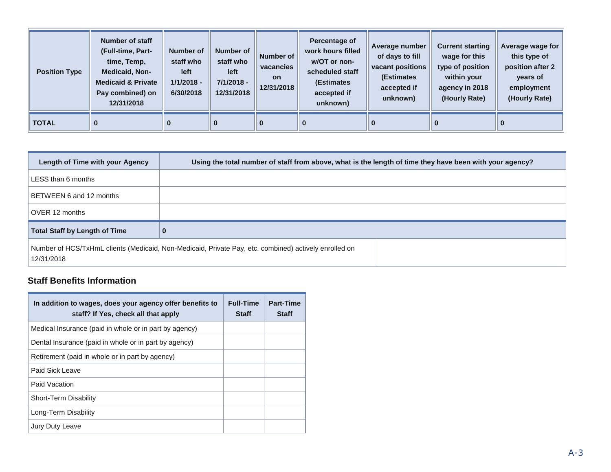| <b>Position Type</b> | Number of staff<br>(Full-time, Part-<br>time, Temp,<br><b>Medicaid, Non-</b><br><b>Medicaid &amp; Private</b><br>Pay combined) on<br>12/31/2018 | Number of<br>staff who<br><b>left</b><br>$1/1/2018 -$<br>6/30/2018 | <b>Number of</b><br>staff who<br>left<br>$7/1/2018 -$<br>12/31/2018 | Number of<br>vacancies<br><b>on</b><br>12/31/2018 | Percentage of<br>work hours filled<br>w/OT or non-<br>scheduled staff<br>(Estimates<br>accepted if<br>unknown) | Average number<br>of days to fill<br>vacant positions<br>(Estimates<br>accepted if<br>unknown) | <b>Current starting</b><br>wage for this<br>type of position<br>within your<br>agency in 2018<br>(Hourly Rate) | Average wage for<br>this type of<br>position after 2<br>years of<br>employment<br>(Hourly Rate) |
|----------------------|-------------------------------------------------------------------------------------------------------------------------------------------------|--------------------------------------------------------------------|---------------------------------------------------------------------|---------------------------------------------------|----------------------------------------------------------------------------------------------------------------|------------------------------------------------------------------------------------------------|----------------------------------------------------------------------------------------------------------------|-------------------------------------------------------------------------------------------------|
| <b>TOTAL</b>         | 0                                                                                                                                               | $\bf{0}$                                                           | $\bf{0}$                                                            | 0                                                 | 0                                                                                                              |                                                                                                | $\bf{0}$                                                                                                       |                                                                                                 |

| Length of Time with your Agency      | Using the total number of staff from above, what is the length of time they have been with your agency? |
|--------------------------------------|---------------------------------------------------------------------------------------------------------|
| LESS than 6 months                   |                                                                                                         |
| BETWEEN 6 and 12 months              |                                                                                                         |
| OVER 12 months                       |                                                                                                         |
| <b>Total Staff by Length of Time</b> | $\bf{0}$                                                                                                |
| 12/31/2018                           | Number of HCS/TxHmL clients (Medicaid, Non-Medicaid, Private Pay, etc. combined) actively enrolled on   |

#### **Staff Benefits Information**

| In addition to wages, does your agency offer benefits to<br>staff? If Yes, check all that apply | <b>Full-Time</b><br><b>Staff</b> | <b>Part-Time</b><br><b>Staff</b> |
|-------------------------------------------------------------------------------------------------|----------------------------------|----------------------------------|
| Medical Insurance (paid in whole or in part by agency)                                          |                                  |                                  |
| Dental Insurance (paid in whole or in part by agency)                                           |                                  |                                  |
| Retirement (paid in whole or in part by agency)                                                 |                                  |                                  |
| Paid Sick Leave                                                                                 |                                  |                                  |
| Paid Vacation                                                                                   |                                  |                                  |
| <b>Short-Term Disability</b>                                                                    |                                  |                                  |
| Long-Term Disability                                                                            |                                  |                                  |
| Jury Duty Leave                                                                                 |                                  |                                  |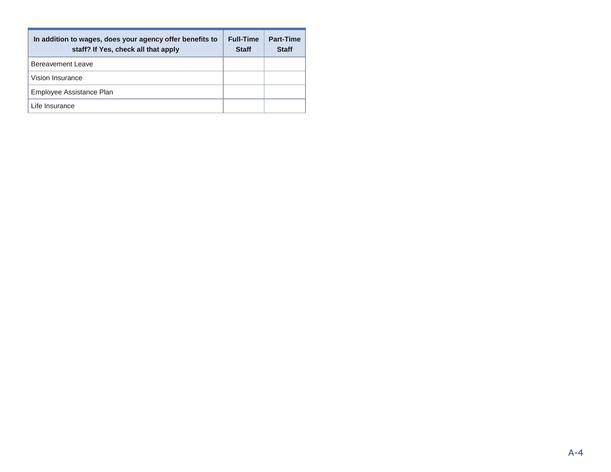| In addition to wages, does your agency offer benefits to<br>staff? If Yes, check all that apply | <b>Full-Time</b><br><b>Staff</b> | Part-Time<br><b>Staff</b> |
|-------------------------------------------------------------------------------------------------|----------------------------------|---------------------------|
| Bereavement Leave                                                                               |                                  |                           |
| Vision Insurance                                                                                |                                  |                           |
| Employee Assistance Plan                                                                        |                                  |                           |
| Life Insurance                                                                                  |                                  |                           |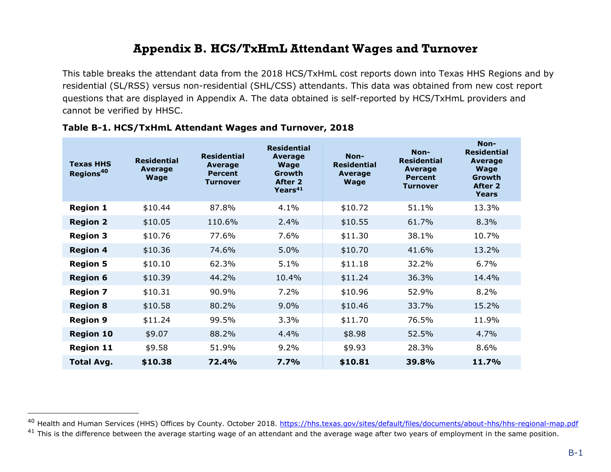### **Appendix B. HCS/TxHmL Attendant Wages and Turnover**

This table breaks the attendant data from the 2018 HCS/TxHmL cost reports down into Texas HHS Regions and by residential (SL/RSS) versus non-residential (SHL/CSS) attendants. This data was obtained from new cost report questions that are displayed in Appendix A. The data obtained is self-reported by HCS/TxHmL providers and cannot be verified by HHSC.

<span id="page-35-0"></span>

| <b>Texas HHS</b><br>Regions <sup>40</sup> | <b>Residential</b><br><b>Average</b><br><b>Wage</b> | <b>Residential</b><br>Average<br><b>Percent</b><br><b>Turnover</b> | <b>Residential</b><br><b>Average</b><br><b>Wage</b><br>Growth<br>After 2<br>Years <sup>41</sup> | Non-<br><b>Residential</b><br>Average<br><b>Wage</b> | Non-<br><b>Residential</b><br>Average<br><b>Percent</b><br>Turnover | Non-<br><b>Residential</b><br><b>Average</b><br><b>Wage</b><br>Growth<br>After 2<br><b>Years</b> |
|-------------------------------------------|-----------------------------------------------------|--------------------------------------------------------------------|-------------------------------------------------------------------------------------------------|------------------------------------------------------|---------------------------------------------------------------------|--------------------------------------------------------------------------------------------------|
| <b>Region 1</b>                           | \$10.44                                             | 87.8%                                                              | 4.1%                                                                                            | \$10.72                                              | 51.1%                                                               | 13.3%                                                                                            |
| <b>Region 2</b>                           | \$10.05                                             | 110.6%                                                             | 2.4%                                                                                            | \$10.55                                              | 61.7%                                                               | 8.3%                                                                                             |
| <b>Region 3</b>                           | \$10.76                                             | 77.6%                                                              | 7.6%                                                                                            | \$11.30                                              | 38.1%                                                               | 10.7%                                                                                            |
| <b>Region 4</b>                           | \$10.36                                             | 74.6%                                                              | 5.0%                                                                                            | \$10.70                                              | 41.6%                                                               | 13.2%                                                                                            |
| <b>Region 5</b>                           | \$10.10                                             | 62.3%                                                              | 5.1%                                                                                            | \$11.18                                              | 32.2%                                                               | 6.7%                                                                                             |
| <b>Region 6</b>                           | \$10.39                                             | 44.2%                                                              | 10.4%                                                                                           | \$11.24                                              | 36.3%                                                               | 14.4%                                                                                            |
| <b>Region 7</b>                           | \$10.31                                             | 90.9%                                                              | 7.2%                                                                                            | \$10.96                                              | 52.9%                                                               | 8.2%                                                                                             |
| <b>Region 8</b>                           | \$10.58                                             | 80.2%                                                              | 9.0%                                                                                            | \$10.46                                              | 33.7%                                                               | 15.2%                                                                                            |
| <b>Region 9</b>                           | \$11.24                                             | 99.5%                                                              | 3.3%                                                                                            | \$11.70                                              | 76.5%                                                               | 11.9%                                                                                            |
| <b>Region 10</b>                          | \$9.07                                              | 88.2%                                                              | 4.4%                                                                                            | \$8.98                                               | 52.5%                                                               | 4.7%                                                                                             |
| <b>Region 11</b>                          | \$9.58                                              | 51.9%                                                              | 9.2%                                                                                            | \$9.93                                               | 28.3%                                                               | 8.6%                                                                                             |
| <b>Total Avg.</b>                         | \$10.38                                             | 72.4%                                                              | 7.7%                                                                                            | \$10.81                                              | 39.8%                                                               | 11.7%                                                                                            |

#### **Table B-1. HCS/TxHmL Attendant Wages and Turnover, 2018**

j

<sup>&</sup>lt;sup>40</sup> Health and Human Services (HHS) Offices by County. October 2018.<https://hhs.texas.gov/sites/default/files/documents/about-hhs/hhs-regional-map.pdf>

<sup>&</sup>lt;sup>41</sup> This is the difference between the average starting wage of an attendant and the average wage after two years of employment in the same position.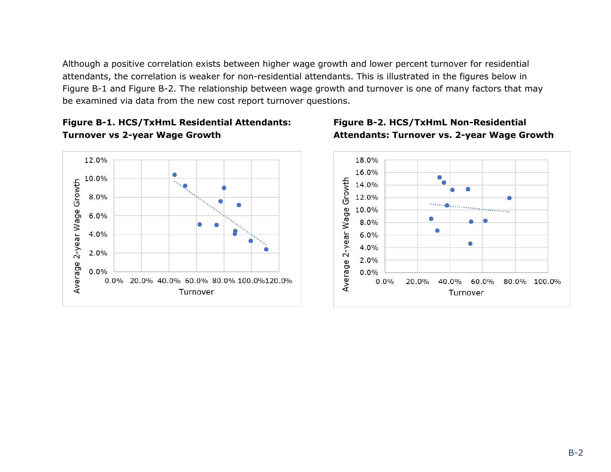Although a positive correlation exists between higher wage growth and lower percent turnover for residential attendants, the correlation is weaker for non-residential attendants. This is illustrated in the figures below in Figure B-1 and Figure B-2. The relationship between wage growth and turnover is one of many factors that may be examined via data from the new cost report turnover questions.







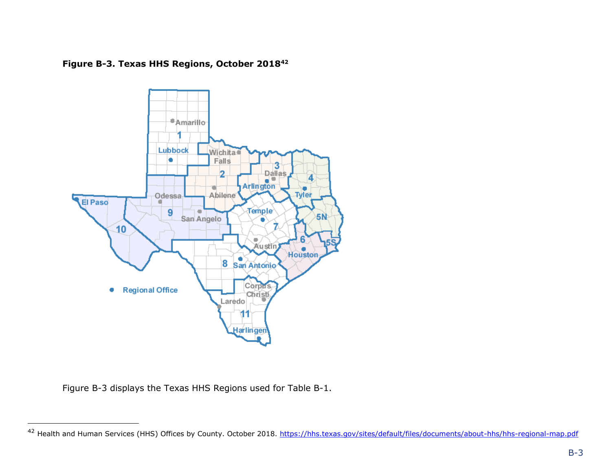



Figure B-3 displays the Texas HHS Regions used for Table B-1.

-

<sup>&</sup>lt;sup>42</sup> Health and Human Services (HHS) Offices by County. October 2018.<https://hhs.texas.gov/sites/default/files/documents/about-hhs/hhs-regional-map.pdf>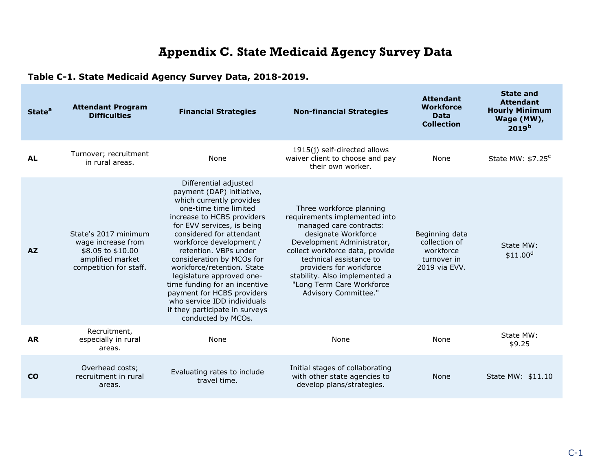# **Appendix C. State Medicaid Agency Survey Data**

### **Table C-1. State Medicaid Agency Survey Data, 2018-2019.**

<span id="page-38-0"></span>

| <b>State<sup>a</sup></b> | <b>Attendant Program</b><br><b>Difficulties</b>                                                               | <b>Financial Strategies</b>                                                                                                                                                                                                                                                                                                                                                                                                                                                                       | <b>Non-financial Strategies</b>                                                                                                                                                                                                                                                                                          | <b>Attendant</b><br><b>Workforce</b><br><b>Data</b><br><b>Collection</b>     | <b>State and</b><br><b>Attendant</b><br><b>Hourly Minimum</b><br>Wage (MW),<br>2019 <sup>b</sup> |
|--------------------------|---------------------------------------------------------------------------------------------------------------|---------------------------------------------------------------------------------------------------------------------------------------------------------------------------------------------------------------------------------------------------------------------------------------------------------------------------------------------------------------------------------------------------------------------------------------------------------------------------------------------------|--------------------------------------------------------------------------------------------------------------------------------------------------------------------------------------------------------------------------------------------------------------------------------------------------------------------------|------------------------------------------------------------------------------|--------------------------------------------------------------------------------------------------|
| <b>AL</b>                | Turnover; recruitment<br>in rural areas.                                                                      | None                                                                                                                                                                                                                                                                                                                                                                                                                                                                                              | 1915(j) self-directed allows<br>waiver client to choose and pay<br>their own worker.                                                                                                                                                                                                                                     | None                                                                         | State MW: $$7.25^{\circ}$                                                                        |
| <b>AZ</b>                | State's 2017 minimum<br>wage increase from<br>\$8.05 to \$10.00<br>amplified market<br>competition for staff. | Differential adjusted<br>payment (DAP) initiative,<br>which currently provides<br>one-time time limited<br>increase to HCBS providers<br>for EVV services, is being<br>considered for attendant<br>workforce development /<br>retention. VBPs under<br>consideration by MCOs for<br>workforce/retention. State<br>legislature approved one-<br>time funding for an incentive<br>payment for HCBS providers<br>who service IDD individuals<br>if they participate in surveys<br>conducted by MCOs. | Three workforce planning<br>requirements implemented into<br>managed care contracts:<br>designate Workforce<br>Development Administrator,<br>collect workforce data, provide<br>technical assistance to<br>providers for workforce<br>stability. Also implemented a<br>"Long Term Care Workforce<br>Advisory Committee." | Beginning data<br>collection of<br>workforce<br>turnover in<br>2019 via EVV. | State MW:<br>\$11.00 <sup>d</sup>                                                                |
| <b>AR</b>                | Recruitment,<br>especially in rural<br>areas.                                                                 | None                                                                                                                                                                                                                                                                                                                                                                                                                                                                                              | None                                                                                                                                                                                                                                                                                                                     | None                                                                         | State MW:<br>\$9.25                                                                              |
| <b>CO</b>                | Overhead costs;<br>recruitment in rural<br>areas.                                                             | Evaluating rates to include<br>travel time.                                                                                                                                                                                                                                                                                                                                                                                                                                                       | Initial stages of collaborating<br>with other state agencies to<br>develop plans/strategies.                                                                                                                                                                                                                             | None                                                                         | State MW: \$11.10                                                                                |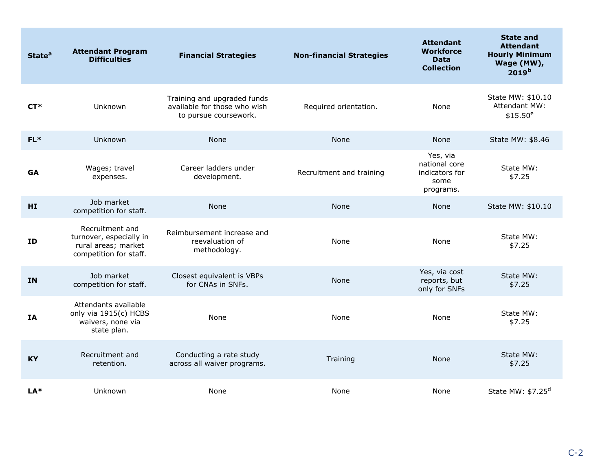| <b>State<sup>a</sup></b> | <b>Attendant Program</b><br><b>Difficulties</b>                                             | <b>Financial Strategies</b>                                                          | <b>Non-financial Strategies</b> | <b>Attendant</b><br><b>Workforce</b><br><b>Data</b><br><b>Collection</b> | <b>State and</b><br><b>Attendant</b><br><b>Hourly Minimum</b><br>Wage (MW),<br>2019 <sup>b</sup> |
|--------------------------|---------------------------------------------------------------------------------------------|--------------------------------------------------------------------------------------|---------------------------------|--------------------------------------------------------------------------|--------------------------------------------------------------------------------------------------|
| $CT*$                    | Unknown                                                                                     | Training and upgraded funds<br>available for those who wish<br>to pursue coursework. | Required orientation.           | None                                                                     | State MW: \$10.10<br>Attendant MW:<br>$$15.50^e$                                                 |
| $FL*$                    | Unknown                                                                                     | None                                                                                 | <b>None</b>                     | None                                                                     | State MW: \$8.46                                                                                 |
| <b>GA</b>                | Wages; travel<br>expenses.                                                                  | Career ladders under<br>development.                                                 | Recruitment and training        | Yes, via<br>national core<br>indicators for<br>some<br>programs.         | State MW:<br>\$7.25                                                                              |
| HI                       | Job market<br>competition for staff.                                                        | None                                                                                 | <b>None</b>                     | None                                                                     | State MW: \$10.10                                                                                |
| ID                       | Recruitment and<br>turnover, especially in<br>rural areas; market<br>competition for staff. | Reimbursement increase and<br>reevaluation of<br>methodology.                        | None                            | None                                                                     | State MW:<br>\$7.25                                                                              |
| IN                       | Job market<br>competition for staff.                                                        | Closest equivalent is VBPs<br>for CNAs in SNFs.                                      | None                            | Yes, via cost<br>reports, but<br>only for SNFs                           | State MW:<br>\$7.25                                                                              |
| IA                       | Attendants available<br>only via 1915(c) HCBS<br>waivers, none via<br>state plan.           | None                                                                                 | None                            | None                                                                     | State MW:<br>\$7.25                                                                              |
| <b>KY</b>                | Recruitment and<br>retention.                                                               | Conducting a rate study<br>across all waiver programs.                               | Training                        | None                                                                     | State MW:<br>\$7.25                                                                              |
| LA*                      | Unknown                                                                                     | None                                                                                 | None                            | None                                                                     | State MW: \$7.25 <sup>d</sup>                                                                    |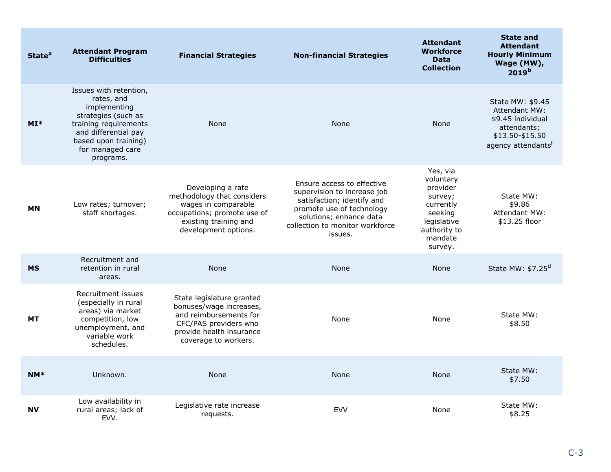| State <sup>a</sup> | <b>Attendant Program</b><br><b>Difficulties</b>                                                                                                                                       | <b>Financial Strategies</b>                                                                                                                                 | <b>Non-financial Strategies</b>                                                                                                                                                               | <b>Attendant</b><br><b>Workforce</b><br><b>Data</b><br><b>Collection</b>                                                  | <b>State and</b><br><b>Attendant</b><br><b>Hourly Minimum</b><br>Wage (MW),<br>2019 <sup>b</sup>                                  |
|--------------------|---------------------------------------------------------------------------------------------------------------------------------------------------------------------------------------|-------------------------------------------------------------------------------------------------------------------------------------------------------------|-----------------------------------------------------------------------------------------------------------------------------------------------------------------------------------------------|---------------------------------------------------------------------------------------------------------------------------|-----------------------------------------------------------------------------------------------------------------------------------|
| $MI*$              | Issues with retention,<br>rates, and<br>implementing<br>strategies (such as<br>training requirements<br>and differential pay<br>based upon training)<br>for managed care<br>programs. | None                                                                                                                                                        | None                                                                                                                                                                                          | None                                                                                                                      | State MW: \$9.45<br><b>Attendant MW:</b><br>\$9.45 individual<br>attendants;<br>\$13.50-\$15.50<br>agency attendants <sup>f</sup> |
| <b>MN</b>          | Low rates; turnover;<br>staff shortages.                                                                                                                                              | Developing a rate<br>methodology that considers<br>wages in comparable<br>occupations; promote use of<br>existing training and<br>development options.      | Ensure access to effective<br>supervision to increase job<br>satisfaction; identify and<br>promote use of technology<br>solutions; enhance data<br>collection to monitor workforce<br>issues. | Yes, via<br>voluntary<br>provider<br>survey;<br>currently<br>seeking<br>legislative<br>authority to<br>mandate<br>survey. | State MW:<br>\$9.86<br><b>Attendant MW:</b><br>\$13.25 floor                                                                      |
| <b>MS</b>          | Recruitment and<br>retention in rural<br>areas.                                                                                                                                       | None                                                                                                                                                        | None                                                                                                                                                                                          | <b>None</b>                                                                                                               | State MW: $$7.25d$                                                                                                                |
| <b>MT</b>          | Recruitment issues<br>(especially in rural<br>areas) via market<br>competition, low<br>unemployment, and<br>variable work<br>schedules.                                               | State legislature granted<br>bonuses/wage increases,<br>and reimbursements for<br>CFC/PAS providers who<br>provide health insurance<br>coverage to workers. | None                                                                                                                                                                                          | None                                                                                                                      | State MW:<br>\$8.50                                                                                                               |
| $NM*$              | Unknown.                                                                                                                                                                              | None                                                                                                                                                        | <b>None</b>                                                                                                                                                                                   | None                                                                                                                      | State MW:<br>\$7.50                                                                                                               |
| <b>NV</b>          | Low availability in<br>rural areas; lack of<br>EVV.                                                                                                                                   | Legislative rate increase<br>requests.                                                                                                                      | <b>EVV</b>                                                                                                                                                                                    | None                                                                                                                      | State MW:<br>\$8.25                                                                                                               |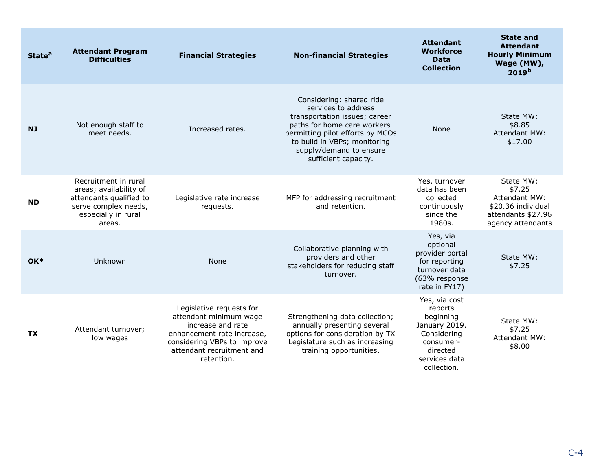| State <sup>a</sup> | <b>Attendant Program</b><br><b>Difficulties</b>                                                                                    | <b>Financial Strategies</b>                                                                                                                                                     | <b>Non-financial Strategies</b>                                                                                                                                                                                                         | <b>Attendant</b><br><b>Workforce</b><br><b>Data</b><br><b>Collection</b>                                                       | <b>State and</b><br><b>Attendant</b><br><b>Hourly Minimum</b><br>Wage (MW),<br>2019 <sup>b</sup>             |
|--------------------|------------------------------------------------------------------------------------------------------------------------------------|---------------------------------------------------------------------------------------------------------------------------------------------------------------------------------|-----------------------------------------------------------------------------------------------------------------------------------------------------------------------------------------------------------------------------------------|--------------------------------------------------------------------------------------------------------------------------------|--------------------------------------------------------------------------------------------------------------|
| <b>NJ</b>          | Not enough staff to<br>meet needs.                                                                                                 | Increased rates.                                                                                                                                                                | Considering: shared ride<br>services to address<br>transportation issues; career<br>paths for home care workers'<br>permitting pilot efforts by MCOs<br>to build in VBPs; monitoring<br>supply/demand to ensure<br>sufficient capacity. | None                                                                                                                           | State MW:<br>\$8.85<br><b>Attendant MW:</b><br>\$17.00                                                       |
| <b>ND</b>          | Recruitment in rural<br>areas; availability of<br>attendants qualified to<br>serve complex needs,<br>especially in rural<br>areas. | Legislative rate increase<br>requests.                                                                                                                                          | MFP for addressing recruitment<br>and retention.                                                                                                                                                                                        | Yes, turnover<br>data has been<br>collected<br>continuously<br>since the<br>1980s.                                             | State MW:<br>\$7.25<br><b>Attendant MW:</b><br>\$20.36 individual<br>attendants \$27.96<br>agency attendants |
| $OK*$              | Unknown                                                                                                                            | None                                                                                                                                                                            | Collaborative planning with<br>providers and other<br>stakeholders for reducing staff<br>turnover.                                                                                                                                      | Yes, via<br>optional<br>provider portal<br>for reporting<br>turnover data<br>(63% response<br>rate in FY17)                    | State MW:<br>\$7.25                                                                                          |
| <b>TX</b>          | Attendant turnover;<br>low wages                                                                                                   | Legislative requests for<br>attendant minimum wage<br>increase and rate<br>enhancement rate increase,<br>considering VBPs to improve<br>attendant recruitment and<br>retention. | Strengthening data collection;<br>annually presenting several<br>options for consideration by TX<br>Legislature such as increasing<br>training opportunities.                                                                           | Yes, via cost<br>reports<br>beginning<br>January 2019.<br>Considering<br>consumer-<br>directed<br>services data<br>collection. | State MW:<br>\$7.25<br>Attendant MW:<br>\$8.00                                                               |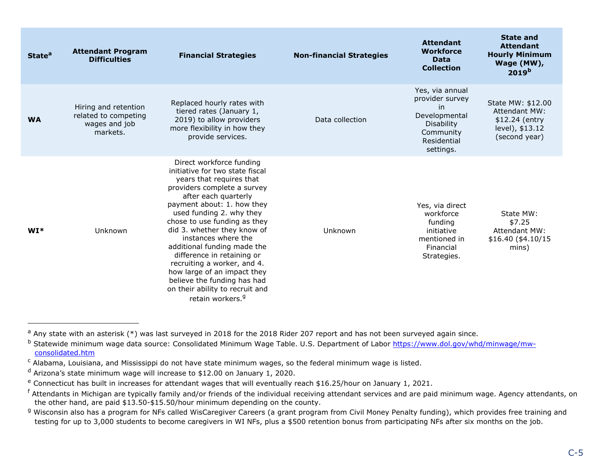| <b>State<sup>a</sup></b> | <b>Attendant Program</b><br><b>Difficulties</b>                           | <b>Financial Strategies</b>                                                                                                                                                                                                                                                                                                                                                                                                                                                                                                 | <b>Non-financial Strategies</b> | <b>Attendant</b><br><b>Workforce</b><br><b>Data</b><br><b>Collection</b>                                                | <b>State and</b><br><b>Attendant</b><br><b>Hourly Minimum</b><br>Wage (MW),<br>2019 <sup>b</sup> |
|--------------------------|---------------------------------------------------------------------------|-----------------------------------------------------------------------------------------------------------------------------------------------------------------------------------------------------------------------------------------------------------------------------------------------------------------------------------------------------------------------------------------------------------------------------------------------------------------------------------------------------------------------------|---------------------------------|-------------------------------------------------------------------------------------------------------------------------|--------------------------------------------------------------------------------------------------|
| <b>WA</b>                | Hiring and retention<br>related to competing<br>wages and job<br>markets. | Replaced hourly rates with<br>tiered rates (January 1,<br>2019) to allow providers<br>more flexibility in how they<br>provide services.                                                                                                                                                                                                                                                                                                                                                                                     | Data collection                 | Yes, via annual<br>provider survey<br>in<br>Developmental<br><b>Disability</b><br>Community<br>Residential<br>settings. | State MW: \$12.00<br><b>Attendant MW:</b><br>\$12.24 (entry<br>level), \$13.12<br>(second year)  |
| $WI*$                    | Unknown                                                                   | Direct workforce funding<br>initiative for two state fiscal<br>years that requires that<br>providers complete a survey<br>after each quarterly<br>payment about: 1. how they<br>used funding 2. why they<br>chose to use funding as they<br>did 3. whether they know of<br>instances where the<br>additional funding made the<br>difference in retaining or<br>recruiting a worker, and 4.<br>how large of an impact they<br>believe the funding has had<br>on their ability to recruit and<br>retain workers. <sup>9</sup> | Unknown                         | Yes, via direct<br>workforce<br>funding<br>initiative<br>mentioned in<br>Financial<br>Strategies.                       | State MW:<br>\$7.25<br><b>Attendant MW:</b><br>\$16.40 (\$4.10/15)<br>mins)                      |

 $\overline{a}$ 

<sup>&</sup>lt;sup>a</sup> Any state with an asterisk (\*) was last surveyed in 2018 for the 2018 Rider 207 report and has not been surveyed again since.

<sup>&</sup>lt;sup>b</sup> Statewide minimum wage data source: Consolidated Minimum Wage Table. U.S. Department of Labor [https://www.dol.gov/whd/minwage/mw](https://www.dol.gov/whd/minwage/mw-consolidated.htm)[consolidated.htm](https://www.dol.gov/whd/minwage/mw-consolidated.htm)

<sup>&</sup>lt;sup>c</sup> Alabama, Louisiana, and Mississippi do not have state minimum wages, so the federal minimum wage is listed.

<sup>d</sup> Arizona's state minimum wage will increase to \$12.00 on January 1, 2020.

<sup>&</sup>lt;sup>e</sup> Connecticut has built in increases for attendant wages that will eventually reach \$16.25/hour on January 1, 2021.

<sup>&</sup>lt;sup>f</sup> Attendants in Michigan are typically family and/or friends of the individual receiving attendant services and are paid minimum wage. Agency attendants, on the other hand, are paid \$13.50-\$15.50/hour minimum depending on the county.

<sup>&</sup>lt;sup>g</sup> Wisconsin also has a program for NFs called WisCaregiver Careers (a grant program from Civil Money Penalty funding), which provides free training and testing for up to 3,000 students to become caregivers in WI NFs, plus a \$500 retention bonus from participating NFs after six months on the job.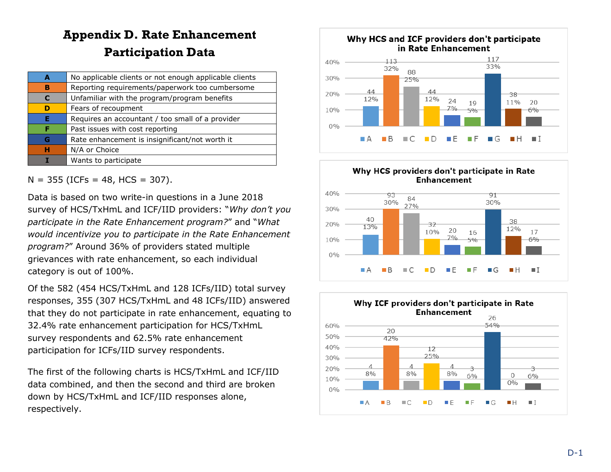# **Appendix D. Rate Enhancement Participation Data**

| A | No applicable clients or not enough applicable clients |
|---|--------------------------------------------------------|
| в | Reporting requirements/paperwork too cumbersome        |
| C | Unfamiliar with the program/program benefits           |
| D | Fears of recoupment                                    |
| Е | Requires an accountant / too small of a provider       |
| F | Past issues with cost reporting                        |
| G | Rate enhancement is insignificant/not worth it         |
| н | N/A or Choice                                          |
|   | Wants to participate                                   |

<span id="page-43-0"></span> $N = 355$  (ICFs = 48, HCS = 307).

Data is based on two write-in questions in a June 2018 survey of HCS/TxHmL and ICF/IID providers: "*Why don't you participate in the Rate Enhancement program?*" and "*What would incentivize you to participate in the Rate Enhancement program?*" Around 36% of providers stated multiple grievances with rate enhancement, so each individual category is out of 100%.

Of the 582 (454 HCS/TxHmL and 128 ICFs/IID) total survey responses, 355 (307 HCS/TxHmL and 48 ICFs/IID) answered that they do not participate in rate enhancement, equating to 32.4% rate enhancement participation for HCS/TxHmL survey respondents and 62.5% rate enhancement participation for ICFs/IID survey respondents.

The first of the following charts is HCS/TxHmL and ICF/IID data combined, and then the second and third are broken down by HCS/TxHmL and ICF/IID responses alone, respectively.



D

шE

шF

G

m,

 $\blacksquare$  I

 $0%$ 

 $\blacksquare$  A

 $B$ 

C

**The State**